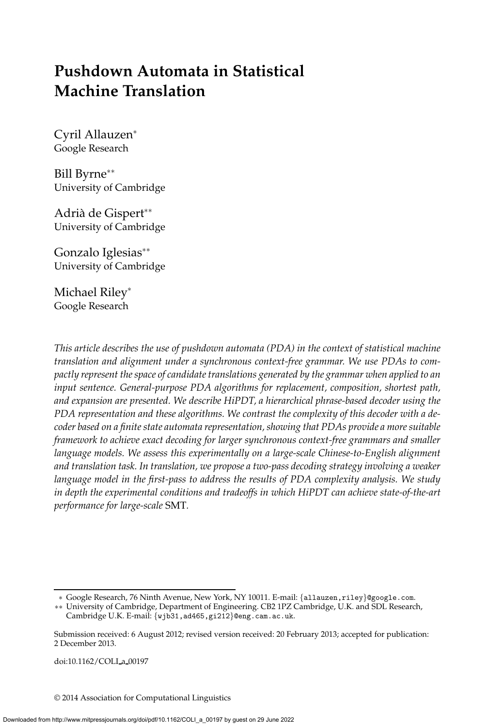# **Pushdown Automata in Statistical Machine Translation**

Cyril Allauzen<sup>∗</sup> Google Research

Bill Byrne∗∗ University of Cambridge

Adrià de Gispert<sup>∗∗</sup> University of Cambridge

Gonzalo Iglesias∗∗ University of Cambridge

Michael Riley<sup>∗</sup> Google Research

*This article describes the use of pushdown automata (PDA) in the context of statistical machine translation and alignment under a synchronous context-free grammar. We use PDAs to compactly represent the space of candidate translations generated by the grammar when applied to an input sentence. General-purpose PDA algorithms for replacement, composition, shortest path, and expansion are presented. We describe HiPDT, a hierarchical phrase-based decoder using the PDA representation and these algorithms. We contrast the complexity of this decoder with a decoder based on a finite state automata representation, showing that PDAs provide a more suitable framework to achieve exact decoding for larger synchronous context-free grammars and smaller language models. We assess this experimentally on a large-scale Chinese-to-English alignment and translation task. In translation, we propose a two-pass decoding strategy involving a weaker language model in the first-pass to address the results of PDA complexity analysis. We study in depth the experimental conditions and tradeoffs in which HiPDT can achieve state-of-the-art performance for large-scale* SMT*.*

doi:10.1162/COLI a 00197

© 2014 Association for Computational Linguistics

<sup>∗</sup> Google Research, 76 Ninth Avenue, New York, NY 10011. E-mail: {allauzen,riley}@google.com.

<sup>∗∗</sup> University of Cambridge, Department of Engineering. CB2 1PZ Cambridge, U.K. and SDL Research, Cambridge U.K. E-mail: {wjb31,ad465,gi212}@eng.cam.ac.uk.

Submission received: 6 August 2012; revised version received: 20 February 2013; accepted for publication: 2 December 2013.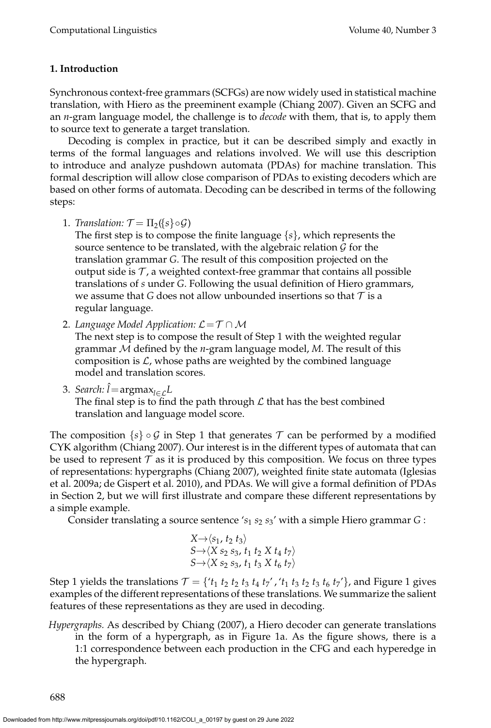# **1. Introduction**

Synchronous context-free grammars (SCFGs) are now widely used in statistical machine translation, with Hiero as the preeminent example (Chiang 2007). Given an SCFG and an *n*-gram language model, the challenge is to *decode* with them, that is, to apply them to source text to generate a target translation.

Decoding is complex in practice, but it can be described simply and exactly in terms of the formal languages and relations involved. We will use this description to introduce and analyze pushdown automata (PDAs) for machine translation. This formal description will allow close comparison of PDAs to existing decoders which are based on other forms of automata. Decoding can be described in terms of the following steps:

1. *Translation:*  $\mathcal{T} = \Pi_2(\lbrace s \rbrace \circ \mathcal{G})$ 

The first step is to compose the finite language {*s*}, which represents the source sentence to be translated, with the algebraic relation  $\mathcal G$  for the translation grammar *G*. The result of this composition projected on the output side is  $\mathcal T$ , a weighted context-free grammar that contains all possible translations of *s* under *G*. Following the usual definition of Hiero grammars, we assume that *G* does not allow unbounded insertions so that  $T$  is a regular language.

2. *Language Model Application:*  $\mathcal{L} = \mathcal{T} \cap \mathcal{M}$ 

The next step is to compose the result of Step 1 with the weighted regular grammar M defined by the *n*-gram language model, *M*. The result of this composition is  $\mathcal{L}$ , whose paths are weighted by the combined language model and translation scores.

3. *Search: Î* = argmax<sub>l∈£</sub>L

The final step is to find the path through  $\mathcal L$  that has the best combined translation and language model score.

The composition  $\{s\} \circ \mathcal{G}$  in Step 1 that generates  $\mathcal{T}$  can be performed by a modified CYK algorithm (Chiang 2007). Our interest is in the different types of automata that can be used to represent  $\tau$  as it is produced by this composition. We focus on three types of representations: hypergraphs (Chiang 2007), weighted finite state automata (Iglesias et al. 2009a; de Gispert et al. 2010), and PDAs. We will give a formal definition of PDAs in Section 2, but we will first illustrate and compare these different representations by a simple example.

Consider translating a source sentence '*s*<sup>1</sup> *s*<sup>2</sup> *s*3' with a simple Hiero grammar *G* :

$$
X \rightarrow \langle s_1, t_2, t_3 \rangle
$$
  
\n
$$
S \rightarrow \langle X \, s_2 \, s_3, t_1 \, t_2 \, X \, t_4 \, t_7 \rangle
$$
  
\n
$$
S \rightarrow \langle X \, s_2 \, s_3, t_1 \, t_3 \, X \, t_6 \, t_7 \rangle
$$

Step 1 yields the translations  $T = \{t_1 \, t_2 \, t_2 \, t_3 \, t_4 \, t_7', t_1 \, t_3 \, t_2 \, t_3 \, t_6 \, t_7'\}$ , and Figure 1 gives examples of the different representations of these translations. We summarize the salient features of these representations as they are used in decoding.

*Hypergraphs.* As described by Chiang (2007), a Hiero decoder can generate translations in the form of a hypergraph, as in Figure 1a. As the figure shows, there is a 1:1 correspondence between each production in the CFG and each hyperedge in the hypergraph.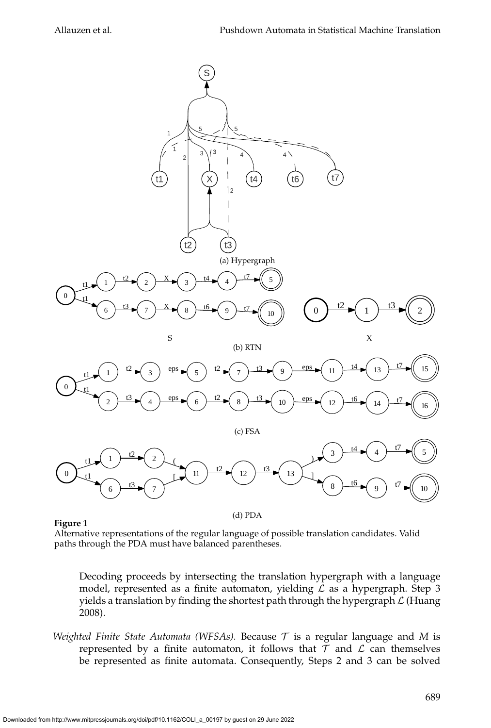

#### **Figure 1**

(d) PDA

Alternative representations of the regular language of possible translation candidates. Valid paths through the PDA must have balanced parentheses.

Decoding proceeds by intersecting the translation hypergraph with a language model, represented as a finite automaton, yielding  $\mathcal L$  as a hypergraph. Step 3 yields a translation by finding the shortest path through the hypergraph  $\mathcal L$  (Huang 2008).

*Weighted Finite State Automata (WFSAs).* Because  $\tau$  is a regular language and M is represented by a finite automaton, it follows that  $T$  and  $L$  can themselves be represented as finite automata. Consequently, Steps 2 and 3 can be solved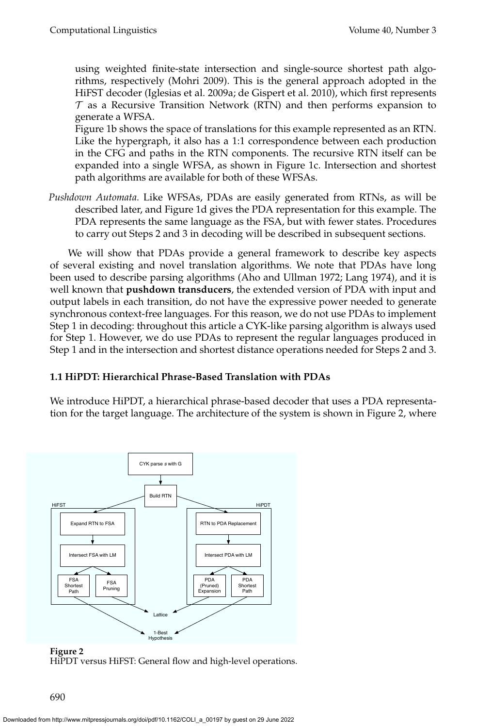using weighted finite-state intersection and single-source shortest path algorithms, respectively (Mohri 2009). This is the general approach adopted in the HiFST decoder (Iglesias et al. 2009a; de Gispert et al. 2010), which first represents  $\tau$  as a Recursive Transition Network (RTN) and then performs expansion to generate a WFSA.

Figure 1b shows the space of translations for this example represented as an RTN. Like the hypergraph, it also has a 1:1 correspondence between each production in the CFG and paths in the RTN components. The recursive RTN itself can be expanded into a single WFSA, as shown in Figure 1c. Intersection and shortest path algorithms are available for both of these WFSAs.

*Pushdown Automata.* Like WFSAs, PDAs are easily generated from RTNs, as will be described later, and Figure 1d gives the PDA representation for this example. The PDA represents the same language as the FSA, but with fewer states. Procedures to carry out Steps 2 and 3 in decoding will be described in subsequent sections.

We will show that PDAs provide a general framework to describe key aspects of several existing and novel translation algorithms. We note that PDAs have long been used to describe parsing algorithms (Aho and Ullman 1972; Lang 1974), and it is well known that **pushdown transducers**, the extended version of PDA with input and output labels in each transition, do not have the expressive power needed to generate synchronous context-free languages. For this reason, we do not use PDAs to implement Step 1 in decoding: throughout this article a CYK-like parsing algorithm is always used for Step 1. However, we do use PDAs to represent the regular languages produced in Step 1 and in the intersection and shortest distance operations needed for Steps 2 and 3.

# **1.1 HiPDT: Hierarchical Phrase-Based Translation with PDAs**

We introduce HiPDT, a hierarchical phrase-based decoder that uses a PDA representation for the target language. The architecture of the system is shown in Figure 2, where



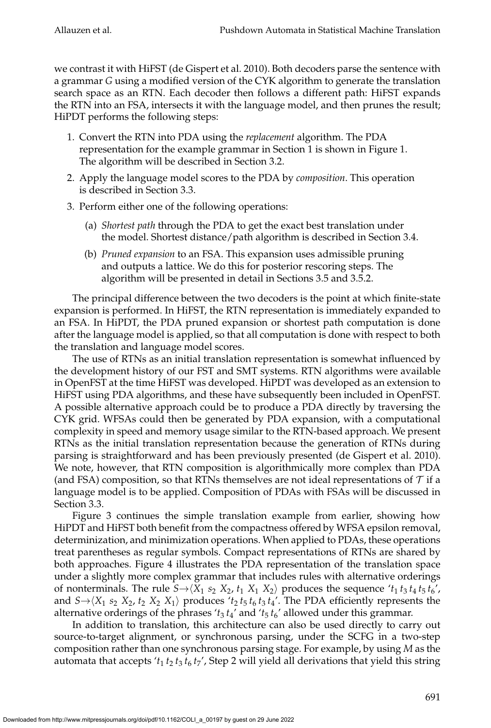we contrast it with HiFST (de Gispert et al. 2010). Both decoders parse the sentence with a grammar *G* using a modified version of the CYK algorithm to generate the translation search space as an RTN. Each decoder then follows a different path: HiFST expands the RTN into an FSA, intersects it with the language model, and then prunes the result; HiPDT performs the following steps:

- 1. Convert the RTN into PDA using the *replacement* algorithm. The PDA representation for the example grammar in Section 1 is shown in Figure 1. The algorithm will be described in Section 3.2.
- 2. Apply the language model scores to the PDA by *composition*. This operation is described in Section 3.3.
- 3. Perform either one of the following operations:
	- (a) *Shortest path* through the PDA to get the exact best translation under the model. Shortest distance/path algorithm is described in Section 3.4.
	- (b) *Pruned expansion* to an FSA. This expansion uses admissible pruning and outputs a lattice. We do this for posterior rescoring steps. The algorithm will be presented in detail in Sections 3.5 and 3.5.2.

The principal difference between the two decoders is the point at which finite-state expansion is performed. In HiFST, the RTN representation is immediately expanded to an FSA. In HiPDT, the PDA pruned expansion or shortest path computation is done after the language model is applied, so that all computation is done with respect to both the translation and language model scores.

The use of RTNs as an initial translation representation is somewhat influenced by the development history of our FST and SMT systems. RTN algorithms were available in OpenFST at the time HiFST was developed. HiPDT was developed as an extension to HiFST using PDA algorithms, and these have subsequently been included in OpenFST. A possible alternative approach could be to produce a PDA directly by traversing the CYK grid. WFSAs could then be generated by PDA expansion, with a computational complexity in speed and memory usage similar to the RTN-based approach. We present RTNs as the initial translation representation because the generation of RTNs during parsing is straightforward and has been previously presented (de Gispert et al. 2010). We note, however, that RTN composition is algorithmically more complex than PDA (and FSA) composition, so that RTNs themselves are not ideal representations of  $\tau$  if a language model is to be applied. Composition of PDAs with FSAs will be discussed in Section 3.3.

Figure 3 continues the simple translation example from earlier, showing how HiPDT and HiFST both benefit from the compactness offered by WFSA epsilon removal, determinization, and minimization operations. When applied to PDAs, these operations treat parentheses as regular symbols. Compact representations of RTNs are shared by both approaches. Figure 4 illustrates the PDA representation of the translation space under a slightly more complex grammar that includes rules with alternative orderings of nonterminals. The rule  $S \rightarrow \langle X_1 \ s_2 \ X_2, t_1 \ X_1 \ X_2 \rangle$  produces the sequence ' $t_1 t_3 t_4 t_5 t_6'$ ', and  $S \rightarrow \langle X_1 \ s_2 \ X_2, t_2 \ X_2 \ X_1 \rangle$  produces ' $t_2 t_5 t_6 t_3 t_4$ '. The PDA efficiently represents the alternative orderings of the phrases 't<sub>3</sub> t<sub>4</sub>' and 't<sub>5</sub> t<sub>6</sub>' allowed under this grammar.

In addition to translation, this architecture can also be used directly to carry out source-to-target alignment, or synchronous parsing, under the SCFG in a two-step composition rather than one synchronous parsing stage. For example, by using *M* as the automata that accepts ' $t_1 t_2 t_3 t_6 t_7$ ', Step 2 will yield all derivations that yield this string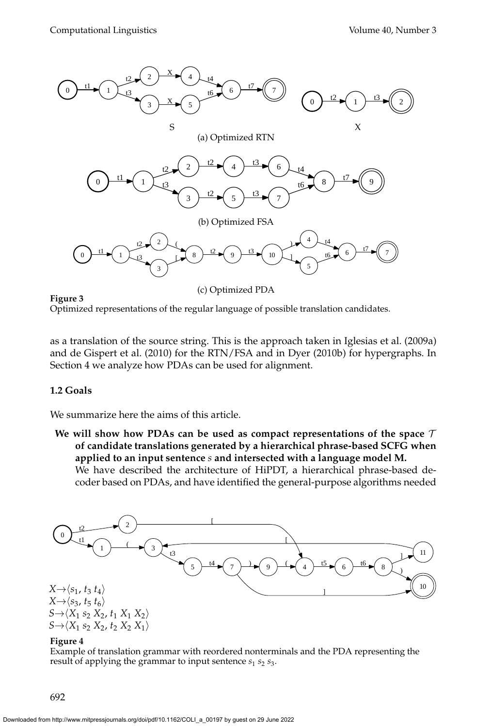

**Figure 3** Optimized representations of the regular language of possible translation candidates.

as a translation of the source string. This is the approach taken in Iglesias et al. (2009a) and de Gispert et al. (2010) for the RTN/FSA and in Dyer (2010b) for hypergraphs. In Section 4 we analyze how PDAs can be used for alignment.

#### **1.2 Goals**

We summarize here the aims of this article.

**We will show how PDAs can be used as compact representations of the space** T **of candidate translations generated by a hierarchical phrase-based SCFG when applied to an input sentence** *s* **and intersected with a language model M.**

We have described the architecture of HiPDT, a hierarchical phrase-based decoder based on PDAs, and have identified the general-purpose algorithms needed



#### **Figure 4**

Example of translation grammar with reordered nonterminals and the PDA representing the result of applying the grammar to input sentence  $s_1$   $s_2$   $s_3$ .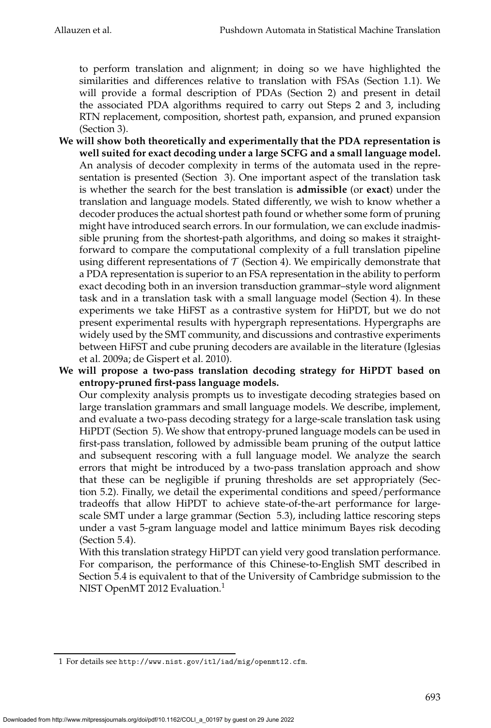to perform translation and alignment; in doing so we have highlighted the similarities and differences relative to translation with FSAs (Section 1.1). We will provide a formal description of PDAs (Section 2) and present in detail the associated PDA algorithms required to carry out Steps 2 and 3, including RTN replacement, composition, shortest path, expansion, and pruned expansion (Section 3).

- **We will show both theoretically and experimentally that the PDA representation is well suited for exact decoding under a large SCFG and a small language model.** An analysis of decoder complexity in terms of the automata used in the representation is presented (Section 3). One important aspect of the translation task is whether the search for the best translation is **admissible** (or **exact**) under the translation and language models. Stated differently, we wish to know whether a decoder produces the actual shortest path found or whether some form of pruning might have introduced search errors. In our formulation, we can exclude inadmissible pruning from the shortest-path algorithms, and doing so makes it straightforward to compare the computational complexity of a full translation pipeline using different representations of  $\mathcal T$  (Section 4). We empirically demonstrate that a PDA representation is superior to an FSA representation in the ability to perform exact decoding both in an inversion transduction grammar–style word alignment task and in a translation task with a small language model (Section 4). In these experiments we take HiFST as a contrastive system for HiPDT, but we do not present experimental results with hypergraph representations. Hypergraphs are widely used by the SMT community, and discussions and contrastive experiments between HiFST and cube pruning decoders are available in the literature (Iglesias et al. 2009a; de Gispert et al. 2010).
- **We will propose a two-pass translation decoding strategy for HiPDT based on entropy-pruned first-pass language models.** Our complexity analysis prompts us to investigate decoding strategies based on

large translation grammars and small language models. We describe, implement, and evaluate a two-pass decoding strategy for a large-scale translation task using HiPDT (Section 5). We show that entropy-pruned language models can be used in first-pass translation, followed by admissible beam pruning of the output lattice and subsequent rescoring with a full language model. We analyze the search errors that might be introduced by a two-pass translation approach and show that these can be negligible if pruning thresholds are set appropriately (Section 5.2). Finally, we detail the experimental conditions and speed/performance tradeoffs that allow HiPDT to achieve state-of-the-art performance for largescale SMT under a large grammar (Section 5.3), including lattice rescoring steps under a vast 5-gram language model and lattice minimum Bayes risk decoding (Section 5.4).

With this translation strategy HiPDT can yield very good translation performance. For comparison, the performance of this Chinese-to-English SMT described in Section 5.4 is equivalent to that of the University of Cambridge submission to the NIST OpenMT 2012 Evaluation.<sup>1</sup>

<sup>1</sup> For details see http://www.nist.gov/itl/iad/mig/openmt12.cfm.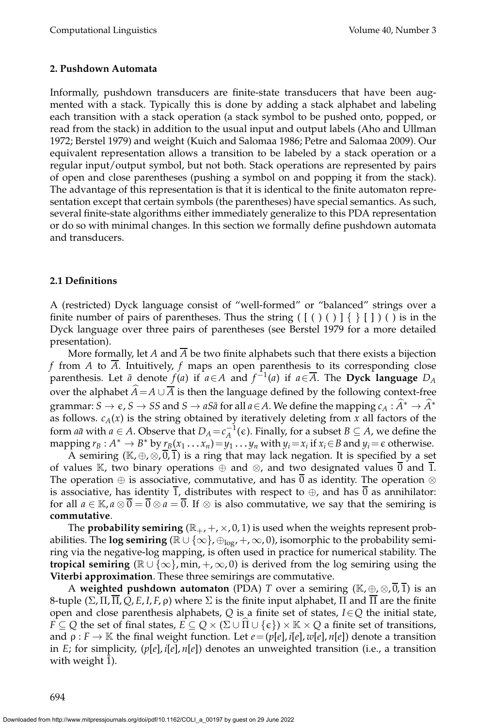#### **2. Pushdown Automata**

Informally, pushdown transducers are finite-state transducers that have been augmented with a stack. Typically this is done by adding a stack alphabet and labeling each transition with a stack operation (a stack symbol to be pushed onto, popped, or read from the stack) in addition to the usual input and output labels (Aho and Ullman 1972; Berstel 1979) and weight (Kuich and Salomaa 1986; Petre and Salomaa 2009). Our equivalent representation allows a transition to be labeled by a stack operation or a regular input/output symbol, but not both. Stack operations are represented by pairs of open and close parentheses (pushing a symbol on and popping it from the stack). The advantage of this representation is that it is identical to the finite automaton representation except that certain symbols (the parentheses) have special semantics. As such, several finite-state algorithms either immediately generalize to this PDA representation or do so with minimal changes. In this section we formally define pushdown automata and transducers.

#### **2.1 Definitions**

A (restricted) Dyck language consist of "well-formed" or "balanced" strings over a finite number of pairs of parentheses. Thus the string  $(\lceil (\rceil) \rceil) \rceil \rceil \rceil)$  ( ) is in the Dyck language over three pairs of parentheses (see Berstel 1979 for a more detailed presentation).

More formally, let *A* and  $\overline{A}$  be two finite alphabets such that there exists a bijection *f* from *A* to *A*. Intuitively, *f* maps an open parenthesis to its corresponding close parenthesis. Let  $\bar{a}$  denote  $f(a)$  if  $a \in A$  and  $f^{-1}(a)$  if  $a \in \overline{A}$ . The **Dyck language**  $D_A$ over the alphabet *A* = *A* ∪  $\overline{A}$  is then the language defined by the following context-free grammar:  $S \to \epsilon$ ,  $S \to SS$  and  $S \to aS\bar{a}$  for all  $a \in A$ . We define the mapping  $c_A : \hat{A}^* \to \hat{A}^*$ as follows.  $c_A(x)$  is the string obtained by iteratively deleting from  $x$  all factors of the form *a* $\bar{a}$  with  $a \in A$ . Observe that  $D_A = c_A^{-1}(\epsilon)$ . Finally, for a subset  $B \subseteq A$ , we define the mapping  $r_B: A^* \to B^*$  by  $r_B(x_1 \dots x_n) = y_1 \dots y_n$  with  $y_i = x_i$  if  $x_i \in B$  and  $y_i = \epsilon$  otherwise.

A semiring ( $\mathbb{K}, \oplus, \otimes, \overline{0}, \overline{1}$ ) is a ring that may lack negation. It is specified by a set of values K, two binary operations  $\oplus$  and  $\otimes$ , and two designated values 0 and 1. The operation  $\oplus$  is associative, commutative, and has  $\overline{0}$  as identity. The operation  $\otimes$ is associative, has identity 1, distributes with respect to  $\oplus$ , and has  $\overline{0}$  as annihilator: for all  $a \in \mathbb{K}$ ,  $a \otimes \overline{0} = \overline{0} \otimes a = \overline{0}$ . If  $\otimes$  is also commutative, we say that the semiring is **commutative**.

The **probability semiring**  $(\mathbb{R}_+, +, \times, 0, 1)$  is used when the weights represent probabilities. The **log semiring** ( $\mathbb{R} \cup \{\infty\}$ ,  $\oplus_{\text{log}7}$  +,  $\infty$ , 0), isomorphic to the probability semiring via the negative-log mapping, is often used in practice for numerical stability. The **tropical semiring** ( $\mathbb{R} \cup \{\infty\}$ , min,  $+$ ,  $\infty$ , 0) is derived from the log semiring using the **Viterbi approximation**. These three semirings are commutative.

A **weighted pushdown automaton** (PDA) *T* over a semiring ( $\mathbb{K}, \oplus, \otimes, \overline{0}, \overline{1}$ ) is an 8-tuple (Σ, Π,  $\overline{\Pi}$ , Q, E, I, F, ρ) where  $\Sigma$  is the finite input alphabet,  $\Pi$  and  $\overline{\Pi}$  are the finite open and close parenthesis alphabets, *Q* is a finite set of states, *I*∈*Q* the initial state, *F*  $\subseteq$  *Q* the set of final states, *E*  $\subseteq$  *Q*  $\times$  ( $\Sigma$  ∪  $\Pi$  ∪ { $\epsilon$ })  $\times$  K  $\times$  *Q* a finite set of transitions, and  $\rho : F \to \mathbb{K}$  the final weight function. Let  $e = (p[e], i[e], w[e], n[e])$  denote a transition in *E*; for simplicity, (*p*[*e*], *i*[*e*], *n*[*e*]) denotes an unweighted transition (i.e., a transition with weight 1).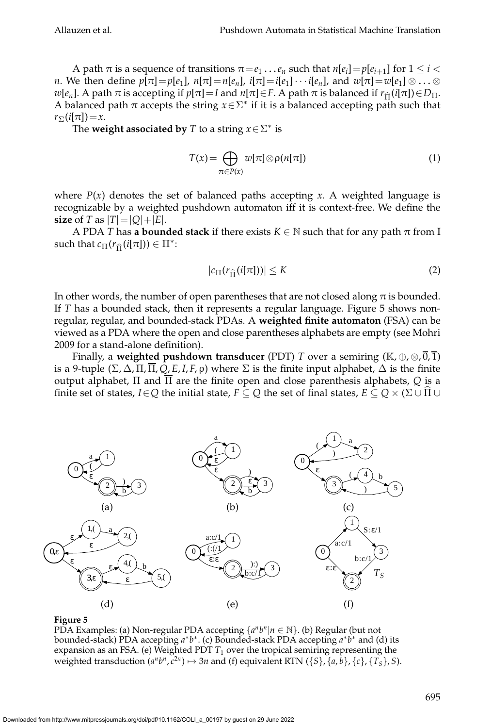A path  $\pi$  is a sequence of transitions  $\pi = e_1 \dots e_n$  such that  $n[e_i] = p[e_{i+1}]$  for  $1 \leq i <$ *n*. We then define  $p[\pi] = p[e_1]$ ,  $n[\pi] = n[e_n]$ ,  $i[\pi] = i[e_1] \cdots i[e_n]$ , and  $w[\pi] = w[e_1] \otimes \ldots \otimes$ *w*[ $e_n$ ]. A path  $\pi$  is accepting if  $p[\pi]=I$  and  $n[\pi]\in F$ . A path  $\pi$  is balanced if  $r_{\hat{\Pi}}(i[\pi])\in D_{\Pi}$ . A balanced path  $\pi$  accepts the string  $x \in \Sigma^*$  if it is a balanced accepting path such that  $r_{\Sigma}(i[\pi])=x.$ 

The **weight associated by**  $T$  to a string  $x \in \Sigma^*$  is

$$
T(x) = \bigoplus_{\pi \in P(x)} w[\pi] \otimes \rho(n[\pi]) \tag{1}
$$

where  $P(x)$  denotes the set of balanced paths accepting *x*. A weighted language is recognizable by a weighted pushdown automaton iff it is context-free. We define the **size** of *T* as  $|T| = |Q| + |E|$ .

A PDA *T* has **a bounded stack** if there exists  $K \in \mathbb{N}$  such that for any path  $\pi$  from I such that  $c_{\Pi}(r_{\widehat{\Pi}}(i[\pi])) \in \Pi^*$ :

$$
|c_{\Pi}(r_{\widehat{\Pi}}(i[\pi]))| \le K \tag{2}
$$

In other words, the number of open parentheses that are not closed along  $\pi$  is bounded. If *T* has a bounded stack, then it represents a regular language. Figure 5 shows nonregular, regular, and bounded-stack PDAs. A **weighted finite automaton** (FSA) can be viewed as a PDA where the open and close parentheses alphabets are empty (see Mohri 2009 for a stand-alone definition).

Finally, a **weighted pushdown transducer** (PDT) *T* over a semiring ( $\mathbb{K}, \oplus, \otimes, \overline{0}, \overline{1}$ ) is a 9-tuple  $(\Sigma, \Delta, \Pi, \overline{\Pi}, Q, E, I, F, \rho)$  where  $\Sigma$  is the finite input alphabet,  $\Delta$  is the finite output alphabet, Π and Π are the finite open and close parenthesis alphabets, *Q* is a finite set of states,  $I \in Q$  the initial state,  $F \subseteq Q$  the set of final states,  $E \subseteq Q \times (\Sigma \cup \Pi \cup$ 



#### **Figure 5**

PDA Examples: (a) Non-regular PDA accepting {*a<sup>n</sup>\bn|n* ∈ ℕ}. (b) Regular (but not bounded-stack) PDA accepting *a* ∗ *b* ∗ . (c) Bounded-stack PDA accepting *a* ∗ *b* <sup>∗</sup> and (d) its expansion as an FSA. (e) Weighted PDT  $T_1$  over the tropical semiring representing the weighted transduction  $(a^n b^n, c^{2n}) \mapsto 3n$  and (f) equivalent RTN  $(\{S\}, \{a, b\}, \{c\}, \{T_S\}, S)$ .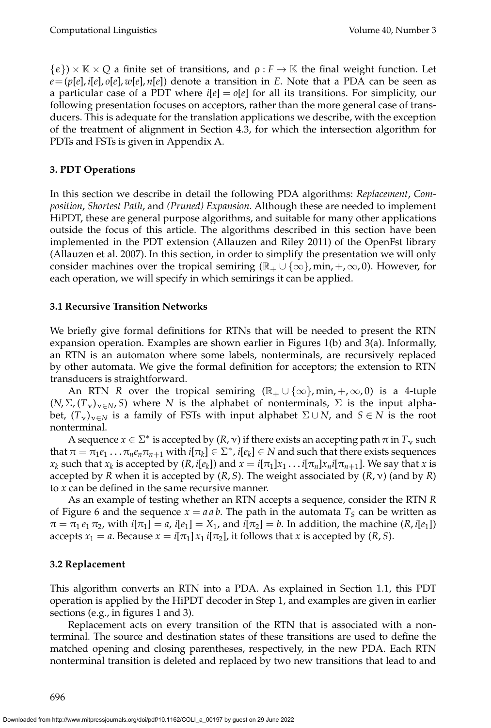$\{\epsilon\}\times\mathbb{R}\times\mathbb{Q}$  a finite set of transitions, and  $\rho: F \to \mathbb{K}$  the final weight function. Let  $e = (p[e], i[e], o[e], w[e], n[e])$  denote a transition in *E*. Note that a PDA can be seen as a particular case of a PDT where  $i[e] = o[e]$  for all its transitions. For simplicity, our following presentation focuses on acceptors, rather than the more general case of transducers. This is adequate for the translation applications we describe, with the exception of the treatment of alignment in Section 4.3, for which the intersection algorithm for PDTs and FSTs is given in Appendix A.

# **3. PDT Operations**

In this section we describe in detail the following PDA algorithms: *Replacement*, *Composition*, *Shortest Path*, and *(Pruned) Expansion*. Although these are needed to implement HiPDT, these are general purpose algorithms, and suitable for many other applications outside the focus of this article. The algorithms described in this section have been implemented in the PDT extension (Allauzen and Riley 2011) of the OpenFst library (Allauzen et al. 2007). In this section, in order to simplify the presentation we will only consider machines over the tropical semiring ( $\mathbb{R}_+ \cup \{\infty\}$ , min,  $+$ ,  $\infty$ , 0). However, for each operation, we will specify in which semirings it can be applied.

# **3.1 Recursive Transition Networks**

We briefly give formal definitions for RTNs that will be needed to present the RTN expansion operation. Examples are shown earlier in Figures 1(b) and 3(a). Informally, an RTN is an automaton where some labels, nonterminals, are recursively replaced by other automata. We give the formal definition for acceptors; the extension to RTN transducers is straightforward.

An RTN *R* over the tropical semiring  $(\mathbb{R}_{+} \cup \{\infty\}, \min, +, \infty, 0)$  is a 4-tuple  $(N, \Sigma, (T_v)_{v \in N}, S)$  where *N* is the alphabet of nonterminals,  $\Sigma$  is the input alphabet,  $(T_v)_{v \in N}$  is a family of FSTs with input alphabet  $\Sigma \cup N$ , and  $S \in N$  is the root nonterminal.

A sequence  $x \in \Sigma^*$  is accepted by  $(R, v)$  if there exists an accepting path  $\pi$  in  $T_v$  such  $\text{that } \pi = \pi_1e_1\dots\pi_ne_n\pi_{n+1}$  with  $i[\pi_k]\in\Sigma^*$  ,  $i[e_k]\in N$  and such that there exists sequences  $x_k$  such that  $x_k$  is accepted by  $(R, i[e_k])$  and  $x = i[\pi_1]x_1 \ldots i[\pi_n]x_n i[\pi_{n+1}]$ . We say that x is accepted by *R* when it is accepted by (*R*, *S*). The weight associated by (*R*, ν) (and by *R*) to *x* can be defined in the same recursive manner.

As an example of testing whether an RTN accepts a sequence, consider the RTN *R* of Figure 6 and the sequence  $x = a a b$ . The path in the automata  $T<sub>S</sub>$  can be written as  $\pi = \pi_1 e_1 \pi_2$ , with  $i[\pi_1] = a$ ,  $i[e_1] = X_1$ , and  $i[\pi_2] = b$ . In addition, the machine  $(R, i[e_1])$ accepts  $x_1 = a$ . Because  $x = i[\pi_1] x_1 i[\pi_2]$ , it follows that *x* is accepted by  $(R, S)$ .

# **3.2 Replacement**

This algorithm converts an RTN into a PDA. As explained in Section 1.1, this PDT operation is applied by the HiPDT decoder in Step 1, and examples are given in earlier sections (e.g., in figures 1 and 3).

Replacement acts on every transition of the RTN that is associated with a nonterminal. The source and destination states of these transitions are used to define the matched opening and closing parentheses, respectively, in the new PDA. Each RTN nonterminal transition is deleted and replaced by two new transitions that lead to and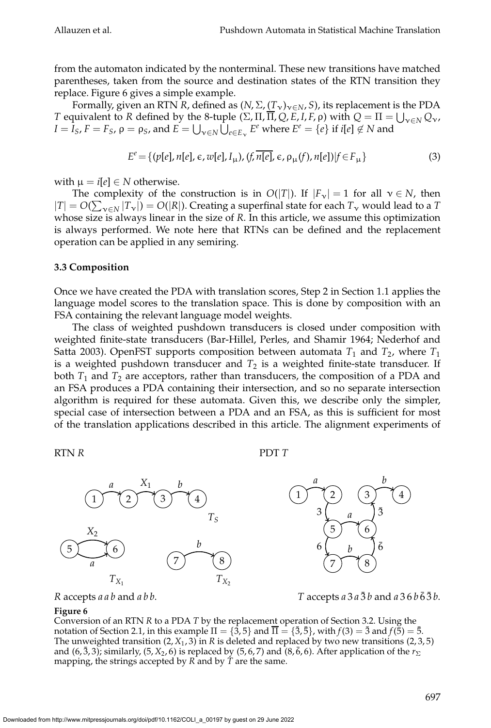from the automaton indicated by the nonterminal. These new transitions have matched parentheses, taken from the source and destination states of the RTN transition they replace. Figure 6 gives a simple example.

Formally, given an RTN *R*, defined as  $(N, \Sigma, (T_v)_{v \in N}, S)$ , its replacement is the PDA *T* equivalent to *R* defined by the 8-tuple  $(\Sigma, \Pi, \overline{\Pi}, Q, E, I, F, \rho)$  with  $Q = \Pi = \bigcup_{v \in N} Q_v$ ,  $I = I_S$ ,  $F = F_S$ ,  $\rho = \rho_S$ , and  $E = \bigcup_{\nu \in N} \hat{U}_{e \in E_{\nu}} E^e$  where  $E^e = \{e\}$  if  $i[e] \notin N$  and

$$
E^{e} = \{ (p[e], n[e], \epsilon, w[e], I_{\mu}), (f, \overline{n[e]}, \epsilon, \rho_{\mu}(f), n[e]) | f \in F_{\mu} \}
$$
(3)

with  $\mu = i[e] \in N$  otherwise.

The complexity of the construction is in  $O(|T|)$ . If  $|F_v| = 1$  for all  $v \in N$ , then  $|T| = O(\sum_{v \in N} |T_v|) = O(|R|)$ . Creating a superfinal state for each  $T_v$  would lead to a *T* whose size is always linear in the size of *R*. In this article, we assume this optimization is always performed. We note here that RTNs can be defined and the replacement operation can be applied in any semiring.

# **3.3 Composition**

Once we have created the PDA with translation scores, Step 2 in Section 1.1 applies the language model scores to the translation space. This is done by composition with an FSA containing the relevant language model weights.

The class of weighted pushdown transducers is closed under composition with weighted finite-state transducers (Bar-Hillel, Perles, and Shamir 1964; Nederhof and Satta 2003). OpenFST supports composition between automata  $T_1$  and  $T_2$ , where  $T_1$ is a weighted pushdown transducer and  $T_2$  is a weighted finite-state transducer. If both  $T_1$  and  $T_2$  are acceptors, rather than transducers, the composition of a PDA and an FSA produces a PDA containing their intersection, and so no separate intersection algorithm is required for these automata. Given this, we describe only the simpler, special case of intersection between a PDA and an FSA, as this is sufficient for most of the translation applications described in this article. The alignment experiments of

RTN *R*

PDT *T*



*R* accepts *a a b* and *a b b*.

*T* accepts  $a \, 3 \, a \, \overline{3} \, b$  and  $a \, 3 \, 6 \, b \, \overline{6} \, \overline{3} \, b$ .

#### **Figure 6**

Conversion of an RTN *R* to a PDA *T* by the replacement operation of Section 3.2. Using the notation of Section 2.1, in this example  $\Pi = \{\dot{3},5\}$  and  $\overline{\Pi} = \{\bar{3},\bar{5}\}$ , with  $f(3) = \bar{3}$  and  $f(\breve{5}) = \bar{5}$ . The unweighted transition  $(2, X_1, 3)$  in *R* is deleted and replaced by two new transitions  $(2, 3, 5)$ and  $(6, \bar{3}, 3)$ ; similarly,  $(5, X_2, 6)$  is replaced by  $(5, 6, 7)$  and  $(8, \bar{6}, 6)$ . After application of the  $r_{\Sigma}$ mapping, the strings accepted by *R* and by *T* are the same.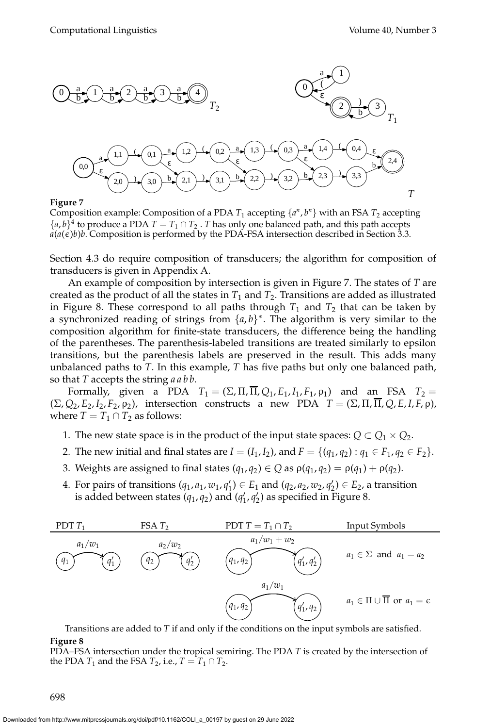

#### **Figure 7**

Composition example: Composition of a PDA  $T_1$  accepting  $\{a^n, b^n\}$  with an FSA  $T_2$  accepting  ${a,b}^4$  to produce a PDA  $T = T_1 \cap T_2$ . *T* has only one balanced path, and this path accepts  $a(a(\epsilon)b)b$ . Composition is performed by the PDA-FSA intersection described in Section 3.3.

Section 4.3 do require composition of transducers; the algorithm for composition of transducers is given in Appendix A.

An example of composition by intersection is given in Figure 7. The states of *T* are created as the product of all the states in  $T_1$  and  $T_2$ . Transitions are added as illustrated in Figure 8. These correspond to all paths through  $T_1$  and  $T_2$  that can be taken by a synchronized reading of strings from  $\{a, b\}^*$ . The algorithm is very similar to the composition algorithm for finite-state transducers, the difference being the handling of the parentheses. The parenthesis-labeled transitions are treated similarly to epsilon transitions, but the parenthesis labels are preserved in the result. This adds many unbalanced paths to *T*. In this example, *T* has five paths but only one balanced path, so that *T* accepts the string *a a b b*.

Formally, given a PDA  $T_1 = (\Sigma, \Pi, \overline{\Pi}, Q_1, E_1, I_1, F_1, \rho_1)$  and an FSA  $T_2 =$  $(\Sigma, Q_2, E_2, I_2, F_2, \rho_2)$ , intersection constructs a new PDA  $T = (\Sigma, \Pi, \overline{\Pi}, Q, E, I, F, \rho)$ , where  $T = T_1 \cap T_2$  as follows:

- 1. The new state space is in the product of the input state spaces:  $Q \subset Q_1 \times Q_2.$
- 2. The new initial and final states are  $I = (I_1, I_2)$ , and  $F = \{(q_1, q_2) : q_1 \in F_1, q_2 \in F_2\}$ .
- 3. Weights are assigned to final states  $(q_1, q_2) \in Q$  as  $\rho(q_1, q_2) = \rho(q_1) + \rho(q_2)$ .
- 4. For pairs of transitions  $(q_1, a_1, w_1, q'_1) \in E_1$  and  $(q_2, a_2, w_2, q'_2) \in E_2$ , a transition is added between states  $(q_1, q_2)$  and  $(q'_1, q'_2)$  as specified in Figure 8.



Transitions are added to *T* if and only if the conditions on the input symbols are satisfied. **Figure 8**

PDA–FSA intersection under the tropical semiring. The PDA *T* is created by the intersection of the PDA  $T_1$  and the FSA  $T_2$ , i.e.,  $T = T_1 \cap T_2$ .

698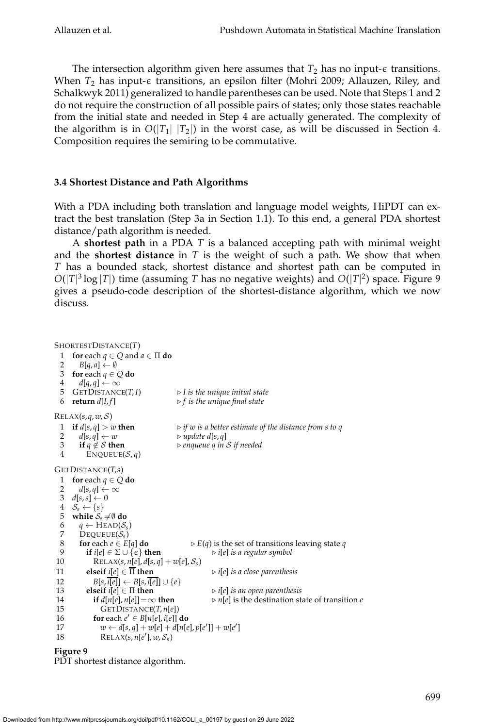The intersection algorithm given here assumes that  $T_2$  has no input- $\epsilon$  transitions. When  $T_2$  has input- $\epsilon$  transitions, an epsilon filter (Mohri 2009; Allauzen, Riley, and Schalkwyk 2011) generalized to handle parentheses can be used. Note that Steps 1 and 2 do not require the construction of all possible pairs of states; only those states reachable from the initial state and needed in Step 4 are actually generated. The complexity of the algorithm is in  $O(|T_1| |T_2|)$  in the worst case, as will be discussed in Section 4. Composition requires the semiring to be commutative.

# **3.4 Shortest Distance and Path Algorithms**

With a PDA including both translation and language model weights, HiPDT can extract the best translation (Step 3a in Section 1.1). To this end, a general PDA shortest distance/path algorithm is needed.

A **shortest path** in a PDA *T* is a balanced accepting path with minimal weight and the **shortest distance** in *T* is the weight of such a path. We show that when *T* has a bounded stack, shortest distance and shortest path can be computed in  $O(|T|^3 \log |T|)$  time (assuming *T* has no negative weights) and  $O(|T|^2)$  space. Figure 9 gives a pseudo-code description of the shortest-distance algorithm, which we now discuss.

```
SHORTESTDISTANCE(T)
 1 for each q \in Q and a \in \Pi do
 2 B[q, a] \leftarrow \emptyset3 for each q \in Q do
  4 d[q, q] ← ∞
 5 GETDISTANCE(T, I) \triangleright I is the unique initial state
 6 return d[I, f] \triangleright f is the unique final state
RELAX(s, q, w, S)
 1 if d[s,q] > w then \triangleright if w is a better estimate of the distance from s to q
 2 d[s,q] \leftarrow w \triangleright update d[s,q]<br>3 if q \notin S then \triangleright enqueue q in
 3 if q \notin S then \triangleright enqueue q in S if needed \stackrel{\text{d}}{=}\text{ENQUEUE}(\mathcal{S}, q)GETDISTANCE(T,s)
 1 for each q \in Q do<br>2 d[s a] \leftarrow \inftyd[s,q] \leftarrow \infty3 d[s,s] \leftarrow 04 S_s \leftarrow \{s\}5 while S_s \neq \emptyset do<br>6 a \leftarrow \text{HEAD}(S_s)6 q \leftarrow \text{HEAD}(\mathcal{S}_s)7 DEQUEUE(Ss
)
 8 for each e ∈ E[q] do \triangleright E(q) is the set of transitions leaving state q<br>9 if i[e] \in \Sigma \cup \{e\} then \triangleright i[e] is a regular symbol
         if i[e] \in \Sigma \cup \{\epsilon\} then
 10 RELAX(s, n[e], d[s, q] + w[e], S_s)
11 elseif i[e] \in \overline{\Pi} then \triangleright i[e] is a close parenthesis
12 B[s, \overline{i[e]}] \leftarrow B[s, \overline{i}[e]] \cup \{e\}13 elseif i[e] \in \Pi then \triangleright i[e] is an open parenthesis
14 if d[n[e], n[e]] = \infty then \rhd n[e] is the destination state of transition e
15 GETDISTANCE(T, n[e])
 16 for each e' \in B[n[e], i[e]] do
 17 w \leftarrow d[s, q] + w[e] + d[n[e], p[e']] + w[e']18 RELAX(s, n[e'], w, S_s)Figure 9
```
PDT shortest distance algorithm.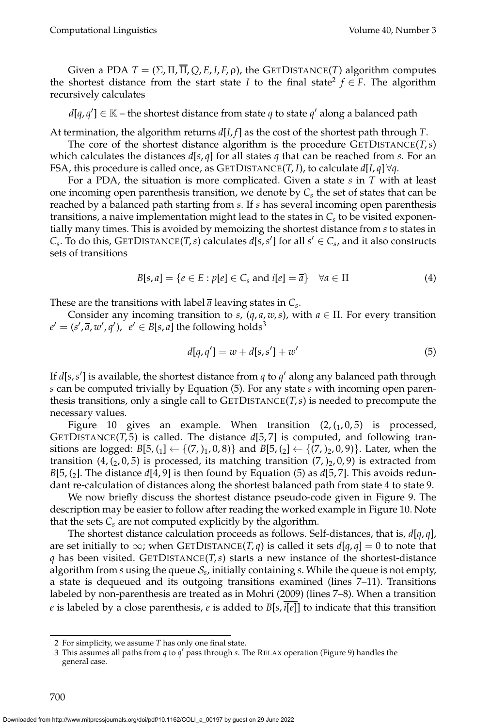Given a PDA  $T = (\Sigma, \Pi, \overline{\Pi}, Q, E, I, F, \rho)$ , the GETDISTANCE(*T*) algorithm computes the shortest distance from the start state *I* to the final state<sup>2</sup>  $f \in F$ . The algorithm recursively calculates

 $d[q, q'] \in \mathbb{K}$  – the shortest distance from state *q* to state *q'* along a balanced path

At termination, the algorithm returns *d*[*I*, *f*] as the cost of the shortest path through *T*.

The core of the shortest distance algorithm is the procedure GETDISTANCE(*T*,*s*) which calculates the distances  $d[s,q]$  for all states q that can be reached from *s*. For an FSA, this procedure is called once, as GETDISTANCE(*T*, *I*), to calculate  $d[I, q] \forall q$ .

For a PDA, the situation is more complicated. Given a state *s* in *T* with at least one incoming open parenthesis transition, we denote by  $C_{s}$  the set of states that can be reached by a balanced path starting from *s*. If *s* has several incoming open parenthesis transitions, a naive implementation might lead to the states in *C<sup>s</sup>* to be visited exponentially many times. This is avoided by memoizing the shortest distance from *s* to states in  $C_s$ . To do this, GETDISTANCE(*T*, *s*) calculates *d*[*s*,*s*'] for all *s*<sup> $\prime$ </sup>  $\in$  *C<sub>s</sub>*, and it also constructs sets of transitions

$$
B[s, a] = \{e \in E : p[e] \in C_s \text{ and } i[e] = \overline{a}\} \quad \forall a \in \Pi
$$
 (4)

These are the transitions with label  $\overline{a}$  leaving states in  $C_s$ .

Consider any incoming transition to *s*,  $(q, a, w, s)$ , with  $a \in \Pi$ . For every transition  $e' = (s', \overline{a}, w', q'), \, \, e' \in B[s, a]$  the following holds<sup>3</sup>

$$
d[q, q'] = w + d[s, s'] + w'
$$
\n<sup>(5)</sup>

If *d*[*s*,*s* ′ ] is available, the shortest distance from *q* to *q* ′ along any balanced path through *s* can be computed trivially by Equation (5). For any state *s* with incoming open parenthesis transitions, only a single call to GETDISTANCE(*T*,*s*) is needed to precompute the necessary values.

Figure 10 gives an example. When transition  $(2,(1,0,5)$  is processed, GETDISTANCE(*T*, 5) is called. The distance *d*[5, 7] is computed, and following transitions are logged:  $B[5, (1] \leftarrow \{(7,)_1, 0, 8)\}$  and  $B[5, (2] \leftarrow \{(7,)_2, 0, 9)\}$ . Later, when the transition  $(4, (2, 0, 5)$  is processed, its matching transition  $(7, )_2, 0, 9)$  is extracted from *B*[5, (2]. The distance *d*[4, 9] is then found by Equation (5) as *d*[5, 7]. This avoids redundant re-calculation of distances along the shortest balanced path from state 4 to state 9.

We now briefly discuss the shortest distance pseudo-code given in Figure 9. The description may be easier to follow after reading the worked example in Figure 10. Note that the sets  $C_s$  are not computed explicitly by the algorithm.

The shortest distance calculation proceeds as follows. Self-distances, that is, *d*[*q*, *q*], are set initially to  $\infty$ ; when GETDISTANCE(*T*, *q*) is called it sets  $d[q, q] = 0$  to note that *q* has been visited. GETDISTANCE(*T*,*s*) starts a new instance of the shortest-distance algorithm from  $s$  using the queue  $\mathcal{S}_s$ , initially containing  $s$ . While the queue is not empty, a state is dequeued and its outgoing transitions examined (lines 7–11). Transitions labeled by non-parenthesis are treated as in Mohri (2009) (lines 7–8). When a transition *e* is labeled by a close parenthesis, *e* is added to *B*[*s*, *i*[*e*]] to indicate that this transition

<sup>2</sup> For simplicity, we assume *T* has only one final state.

<sup>3</sup> This assumes all paths from *q* to *q* ′ pass through *s*. The RELAX operation (Figure 9) handles the general case.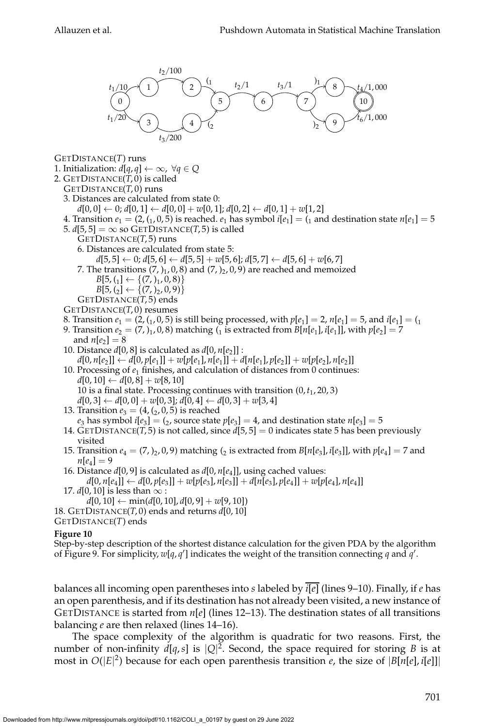

GETDISTANCE(*T*) runs

- 1. Initialization:  $d[q, q] \leftarrow \infty$ ,  $\forall q \in Q$
- 2. GETDISTANCE(*T*, 0) is called
- GETDISTANCE(*T*, 0) runs
	- 3. Distances are calculated from state 0:
	- $d[0, 0]$  ← 0;  $d[0, 1]$  ←  $d[0, 0]$  +  $w[0, 1]$ ;  $d[0, 2]$  ←  $d[0, 1]$  +  $w[1, 2]$
	- 4. Transition  $e_1 = (2, (1, 0, 5)$  is reached.  $e_1$  has symbol  $i[e_1] = (1, 0, 1)$  and destination state  $n[e_1] = 5$ 5.  $d[5, 5] = \infty$  so GETDISTANCE(*T*, 5) is called
		- GETDISTANCE(*T*, 5) runs
			- 6. Distances are calculated from state 5:
			- $d[5, 5] \leftarrow 0; d[5, 6] \leftarrow d[5, 5] + w[5, 6]; d[5, 7] \leftarrow d[5, 6] + w[6, 7]$
			- 7. The transitions  $(7, )_1$ , 0, 8) and  $(7, )_2$ , 0, 9) are reached and memoized
				- $B[5, (1] \leftarrow \{(7, 1), 0, 8)\}$
			- $B[5, (2] \leftarrow \{(7, 2), 0, 9)\}$ GETDISTANCE(*T*, 5) ends
	- GETDISTANCE(*T*, 0) resumes
	- 8. Transition  $e_1 = (2, (1, 0, 5)$  is still being processed, with  $p[e_1] = 2$ ,  $n[e_1] = 5$ , and  $i[e_1] = (1, 0, 1)$
	- 9. Transition  $e_2 = (7, )_1, 0, 8$  matching  $({}^1_1$  is extracted from  $B[n[e_1], i[e_1]]$ , with  $p[e_2] = 7$ and  $n[e_2] = 8$
	- 10. Distance *d*[0, 8] is calculated as *d*[0, *n*[*e*<sup>2</sup> ]] :  $d[0, n[e_2]] \leftarrow d[0, p[e_1]] + w[p[e_1], n[e_1]] + d[n[e_1], p[e_2]] + w[p[e_2], n[e_2]]$
	- 10. Processing of *e*<sup>1</sup> finishes, and calculation of distances from 0 continues:  $d[0, 10]$  ←  $d[0, 8]$  +  $w[8, 10]$ 10 is a final state. Processing continues with transition (0,*t*<sup>1</sup> , 20, 3)
		- $d[0, 3] \leftarrow d[0, 0] + w[0, 3]; d[0, 4] \leftarrow d[0, 3] + w[3, 4]$
	- 13. Transition  $e_3 = (4, (2, 0, 5)$  is reached
	- $e_3$  has symbol  $i[e_3] = (2)$ , source state  $p[e_3] = 4$ , and destination state  $n[e_3] = 5$ 14. GETDISTANCE(*T*, 5) is not called, since  $d[5,5] = 0$  indicates state 5 has been previously
	- visited
	- 15. Transition  $e_4 = (7, )_2, 0, 9$  matching  $({}_2$  is extracted from  $B[n[e_3], i[e_3]]$ , with  $p[e_4] = 7$  and  $n[e_4] = 9$
	- 16. Distance *d*[0, 9] is calculated as *d*[0, *n*[*e*<sup>4</sup> ]], using cached values:  $d[0, n[e_4]] \leftarrow d[0, p[e_3]] + w[p[e_3], n[e_3]] + d[n[e_3], p[e_4]] + w[p[e_4], n[e_4]]$
	- 17.  $d[0, 10]$  is less than  $\infty$  :
	- $d[0, 10] \leftarrow min(d[0, 10], d[0, 9] + w[9, 10])$
- 18. GETDISTANCE(*T*, 0) ends and returns *d*[0, 10]
- GETDISTANCE(*T*) ends

#### **Figure 10**

Step-by-step description of the shortest distance calculation for the given PDA by the algorithm of Figure 9. For simplicity,  $w[q, q']$  indicates the weight of the transition connecting q and q'.

balances all incoming open parentheses into *s* labeled by *i*[*e*] (lines 9–10). Finally, if *e* has an open parenthesis, and if its destination has not already been visited, a new instance of GETDISTANCE is started from *n*[*e*] (lines 12–13). The destination states of all transitions balancing *e* are then relaxed (lines 14–16).

The space complexity of the algorithm is quadratic for two reasons. First, the number of non-infinity  $d[q,s]$  is  $|Q|^2$ . Second, the space required for storing *B* is at most in  $O(|E|^2)$  because for each open parenthesis transition *e*, the size of  $|B[n[e], i[e]]|$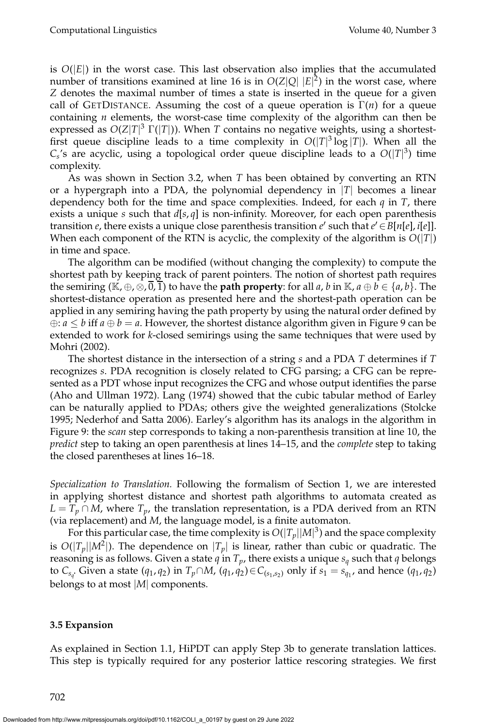is  $O(|E|)$  in the worst case. This last observation also implies that the accumulated number of transitions examined at line 16 is in  $O(Z|Q||E|^2)$  in the worst case, where *Z* denotes the maximal number of times a state is inserted in the queue for a given call of GETDISTANCE. Assuming the cost of a queue operation is  $\Gamma(n)$  for a queue containing *n* elements, the worst-case time complexity of the algorithm can then be expressed as *O*(*Z*|*T*| <sup>3</sup> Γ(|*T*|)). When *T* contains no negative weights, using a shortestfirst queue discipline leads to a time complexity in  $O(|T|^3 \log |T|)$ . When all the  $C_s$ 's are acyclic, using a topological order queue discipline leads to a  $O(|T|^3)$  time complexity.

As was shown in Section 3.2, when *T* has been obtained by converting an RTN or a hypergraph into a PDA, the polynomial dependency in |*T*| becomes a linear dependency both for the time and space complexities. Indeed, for each *q* in *T*, there exists a unique *s* such that *d*[*s*, *q*] is non-infinity. Moreover, for each open parenthesis transition *e*, there exists a unique close parenthesis transition  $e'$  such that  $e' \in B[n[e], i[e]]$ . When each component of the RTN is acyclic, the complexity of the algorithm is  $O(|T|)$ in time and space.

The algorithm can be modified (without changing the complexity) to compute the shortest path by keeping track of parent pointers. The notion of shortest path requires the semiring  $(\mathbb{K}, \oplus, \otimes, \overline{0}, \overline{1})$  to have the **path property**: for all *a*, *b* in  $\mathbb{K}, a \oplus b \in \{a, b\}$ . The shortest-distance operation as presented here and the shortest-path operation can be applied in any semiring having the path property by using the natural order defined by  $\oplus: a \leq b$  iff  $a \oplus b = a$ . However, the shortest distance algorithm given in Figure 9 can be extended to work for *k*-closed semirings using the same techniques that were used by Mohri (2002).

The shortest distance in the intersection of a string *s* and a PDA *T* determines if *T* recognizes *s*. PDA recognition is closely related to CFG parsing; a CFG can be represented as a PDT whose input recognizes the CFG and whose output identifies the parse (Aho and Ullman 1972). Lang (1974) showed that the cubic tabular method of Earley can be naturally applied to PDAs; others give the weighted generalizations (Stolcke 1995; Nederhof and Satta 2006). Earley's algorithm has its analogs in the algorithm in Figure 9: the *scan* step corresponds to taking a non-parenthesis transition at line 10, the *predict* step to taking an open parenthesis at lines 14–15, and the *complete* step to taking the closed parentheses at lines 16–18.

*Specialization to Translation.* Following the formalism of Section 1, we are interested in applying shortest distance and shortest path algorithms to automata created as  $L = T_p \cap M$ , where  $T_p$ , the translation representation, is a PDA derived from an RTN (via replacement) and *M*, the language model, is a finite automaton.

For this particular case, the time complexity is  $O(|T_p||M|^3)$  and the space complexity is  $O(|T_p||M^2|)$ . The dependence on  $|T_p|$  is linear, rather than cubic or quadratic. The reasoning is as follows. Given a state *q* in *T<sup>p</sup>* , there exists a unique *s<sup>q</sup>* such that *q* belongs to  $C_{s_q}$ . Given a state  $(q_1, q_2)$  in  $T_p \cap M$ ,  $(q_1, q_2) \in C_{(s_1, s_2)}$  only if  $s_1 = s_{q_1}$ , and hence  $(q_1, q_2)$ belongs to at most |*M*| components.

#### **3.5 Expansion**

As explained in Section 1.1, HiPDT can apply Step 3b to generate translation lattices. This step is typically required for any posterior lattice rescoring strategies. We first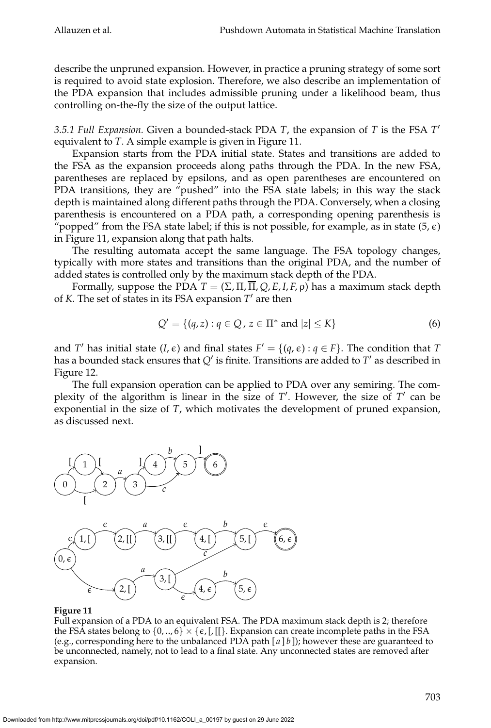describe the unpruned expansion. However, in practice a pruning strategy of some sort is required to avoid state explosion. Therefore, we also describe an implementation of the PDA expansion that includes admissible pruning under a likelihood beam, thus controlling on-the-fly the size of the output lattice.

*3.5.1 Full Expansion.* Given a bounded-stack PDA *T*, the expansion of *T* is the FSA *T* ′ equivalent to *T*. A simple example is given in Figure 11.

Expansion starts from the PDA initial state. States and transitions are added to the FSA as the expansion proceeds along paths through the PDA. In the new FSA, parentheses are replaced by epsilons, and as open parentheses are encountered on PDA transitions, they are "pushed" into the FSA state labels; in this way the stack depth is maintained along different paths through the PDA. Conversely, when a closing parenthesis is encountered on a PDA path, a corresponding opening parenthesis is "popped" from the FSA state label; if this is not possible, for example, as in state  $(5,\epsilon)$ in Figure 11, expansion along that path halts.

The resulting automata accept the same language. The FSA topology changes, typically with more states and transitions than the original PDA, and the number of added states is controlled only by the maximum stack depth of the PDA.

Formally, suppose the PDA  $T = (\Sigma, \Pi, \overline{\Pi}, Q, E, I, F, \rho)$  has a maximum stack depth of *K*. The set of states in its FSA expansion *T* ′ are then

$$
Q' = \{(q, z) : q \in Q, z \in \Pi^* \text{ and } |z| \le K\}
$$
 (6)

and *T'* has initial state  $(I, \epsilon)$  and final states  $F' = \{(q, \epsilon) : q \in F\}$ . The condition that *T* has a bounded stack ensures that *Q*′ is finite. Transitions are added to *T* ′ as described in Figure 12.

The full expansion operation can be applied to PDA over any semiring. The complexity of the algorithm is linear in the size of *T'*. However, the size of *T'* can be exponential in the size of *T*, which motivates the development of pruned expansion, as discussed next.



#### **Figure 11**

Full expansion of a PDA to an equivalent FSA. The PDA maximum stack depth is 2; therefore the FSA states belong to  $\{0,..,6\} \times \{\epsilon, [,[[].]$  Expansion can create incomplete paths in the FSA (e.g., corresponding here to the unbalanced PDA path  $[a \mid b]$ ); however these are guaranteed to be unconnected, namely, not to lead to a final state. Any unconnected states are removed after expansion.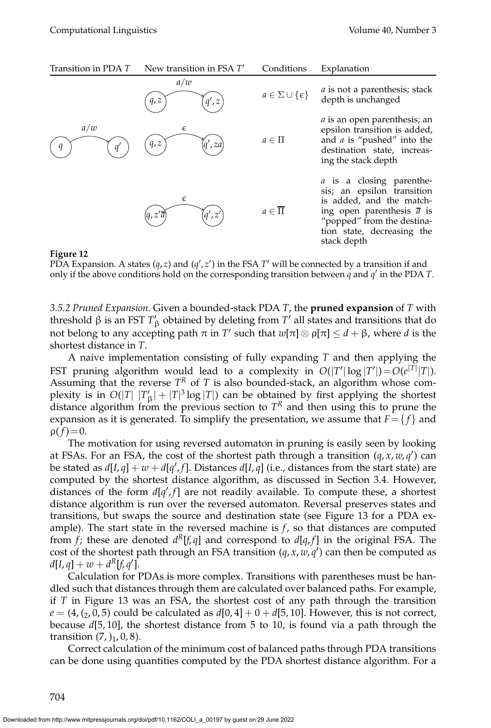| Transition in PDA T | New transition in FSA T'                                                                                                                                                                                                                                                                                                                                                                                                                    | Conditions                       | Explanation                                                                                                                                                                                                    |
|---------------------|---------------------------------------------------------------------------------------------------------------------------------------------------------------------------------------------------------------------------------------------------------------------------------------------------------------------------------------------------------------------------------------------------------------------------------------------|----------------------------------|----------------------------------------------------------------------------------------------------------------------------------------------------------------------------------------------------------------|
|                     | a/w<br>q, z<br>q', z                                                                                                                                                                                                                                                                                                                                                                                                                        | $a \in \Sigma \cup \{\epsilon\}$ | $a$ is not a parenthesis; stack<br>depth is unchanged                                                                                                                                                          |
| a/w<br>$q^{\prime}$ | $\epsilon$<br>q, z<br>',za                                                                                                                                                                                                                                                                                                                                                                                                                  | $a \in \Pi$                      | <i>a</i> is an open parenthesis; an<br>epsilon transition is added,<br>and $a$ is "pushed" into the<br>destination state, increas-<br>ing the stack depth                                                      |
|                     | $\epsilon$<br>a', z'<br>$(q,z^{\prime}\overline{a}% ,\omega)=q_{\alpha}q_{\alpha}q_{\alpha}+q_{\alpha}q_{\alpha}q_{\beta}+q_{\alpha}q_{\beta}q_{\beta}+q_{\beta}q_{\beta}q_{\beta}+q_{\alpha}q_{\beta}q_{\beta}+q_{\beta}q_{\beta}q_{\beta}+q_{\beta}q_{\beta}q_{\beta}+q_{\beta}q_{\beta}q_{\beta}+q_{\beta}q_{\beta}q_{\beta}+q_{\beta}q_{\beta}q_{\beta}+q_{\beta}q_{\beta}q_{\beta}+q_{\beta}q_{\beta}q_{\beta}+q_{\beta}q_{\beta}q_{\$ | $a \in \overline{\Pi}$           | <i>a</i> is a closing parenthe-<br>sis; an epsilon transition<br>is added, and the match-<br>ing open parenthesis $\overline{a}$ is<br>"popped" from the destina-<br>tion state, decreasing the<br>stack depth |

#### **Figure 12**

PDA Expansion. A states (q, z) and (q', z') in the FSA  $T'$  will be connected by a transition if and only if the above conditions hold on the corresponding transition between *q* and *q* ′ in the PDA *T*.

*3.5.2 Pruned Expansion.* Given a bounded-stack PDA *T*, the **pruned expansion** of *T* with threshold β is an FST  $T'_{\beta}$  obtained by deleting from  $T'$  all states and transitions that do not belong to any accepting path  $\pi$  in  $T'$  such that  $w[\pi] \otimes \rho[\pi] \leq d + \beta$ , where *d* is the shortest distance in *T*.

A naive implementation consisting of fully expanding *T* and then applying the FST pruning algorithm would lead to a complexity in  $O(|T'|\log |T'|)=O(e^{|T|}|T|)$ . Assuming that the reverse  $T^R$  of  $T$  is also bounded-stack, an algorithm whose complexity is in  $O(|T| |T'_{\beta}| + |T|^3 \log |T|)$  can be obtained by first applying the shortest distance algorithm from the previous section to  $T<sup>R</sup>$  and then using this to prune the expansion as it is generated. To simplify the presentation, we assume that  $F = \{f\}$  and  $\rho(f)=0.$ 

The motivation for using reversed automaton in pruning is easily seen by looking at FSAs. For an FSA, the cost of the shortest path through a transition (*q*, *x*, *w*, *q* ′ ) can be stated as  $d[I, q] + w + d[q', f]$ . Distances  $d[I, q]$  (i.e., distances from the start state) are computed by the shortest distance algorithm, as discussed in Section 3.4. However, distances of the form  $d[q', f]$  are not readily available. To compute these, a shortest distance algorithm is run over the reversed automaton. Reversal preserves states and transitions, but swaps the source and destination state (see Figure 13 for a PDA example). The start state in the reversed machine is  $f$ , so that distances are computed from *f*; these are denoted  $d^R[f,q]$  and correspond to  $d[q,f]$  in the original FSA. The cost of the shortest path through an FSA transition  $(q, x, w, q')$  can then be computed as  $d[I, q] + w + d^R[f, q']$ .

Calculation for PDAs is more complex. Transitions with parentheses must be handled such that distances through them are calculated over balanced paths. For example, if *T* in Figure 13 was an FSA, the shortest cost of any path through the transition  $e = (4, (2, 0, 5)$  could be calculated as  $d[0, 4] + 0 + d[5, 10]$ . However, this is not correct, because *d*[5, 10], the shortest distance from 5 to 10, is found via a path through the transition  $(7, )_1, 0, 8$ ).

Correct calculation of the minimum cost of balanced paths through PDA transitions can be done using quantities computed by the PDA shortest distance algorithm. For a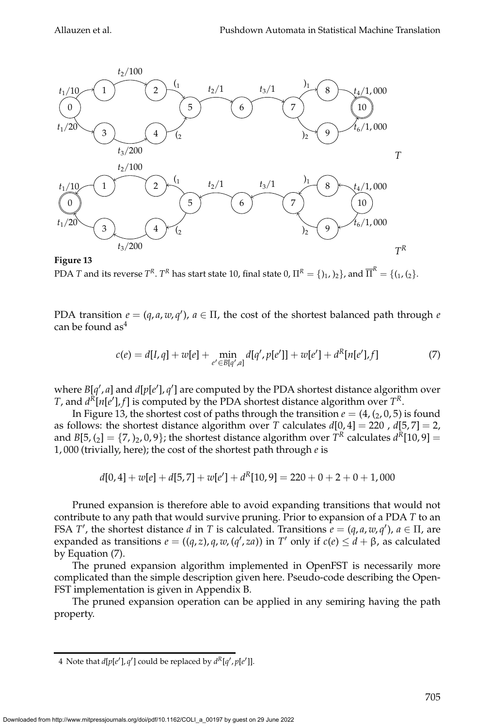

**Figure 13** PDA  $T$  and its reverse  $T^R.$   $T^R$  has start state 10, final state 0,  $\Pi^R=\{ \mathcal{h}_1, \mathcal{h}_2 \}$ , and  $\overline{\Pi}^R=\{ \mathcal{h}_1, \mathcal{h}_2 \}.$ 

PDA transition  $e = (q, a, w, q')$ ,  $a \in \Pi$ , the cost of the shortest balanced path through *e* can be found  $as<sup>4</sup>$ 

$$
c(e) = d[I, q] + w[e] + \min_{e' \in B[q', a]} d[q', p[e']] + w[e'] + d^{R}[n[e'], f]
$$
(7)

where  $B[q', a]$  and  $d[p[e'], q']$  are computed by the PDA shortest distance algorithm over *T*, and  $d^R[n[e'], f]$  is computed by the PDA shortest distance algorithm over  $T^R$ .

In Figure 13, the shortest cost of paths through the transition  $e = (4, (2, 0, 5)$  is found as follows: the shortest distance algorithm over *T* calculates *d*[0, 4] = 220 , *d*[5, 7] = 2, and  $B[5, (2] = \{7, )_2, 0, 9\}$ ; the shortest distance algorithm over  $T^R$  calculates  $d^R[10, 9] =$ 1, 000 (trivially, here); the cost of the shortest path through *e* is

$$
d[0,4]+w[e]+d[5,7]+w[e'] + d^{R}[10,9] = 220 + 0 + 2 + 0 + 1,000
$$

Pruned expansion is therefore able to avoid expanding transitions that would not contribute to any path that would survive pruning. Prior to expansion of a PDA *T* to an FSA *T'*, the shortest distance *d* in *T* is calculated. Transitions  $e = (q, a, w, q')$ ,  $a \in \Pi$ , are expanded as transitions  $e = ((q, z), q, w, (q', za))$  in  $T'$  only if  $c(e) \leq d + \beta$ , as calculated by Equation (7).

The pruned expansion algorithm implemented in OpenFST is necessarily more complicated than the simple description given here. Pseudo-code describing the Open-FST implementation is given in Appendix B.

The pruned expansion operation can be applied in any semiring having the path property.

<sup>4</sup> Note that  $d[p[e'], q']$  could be replaced by  $d^R[q', p[e']$ ].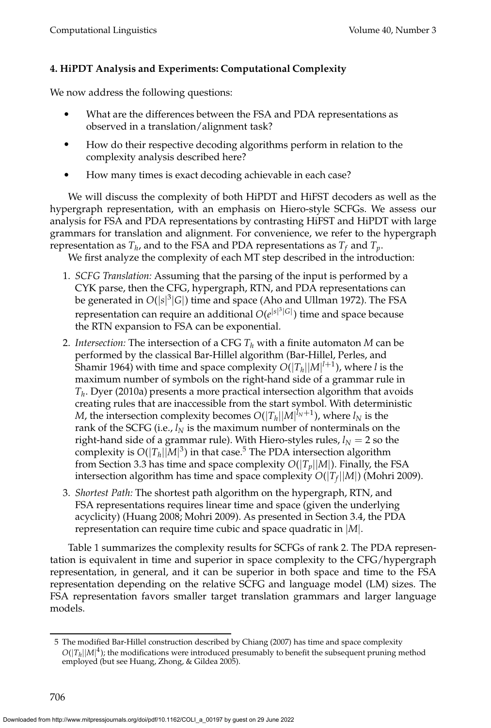# **4. HiPDT Analysis and Experiments: Computational Complexity**

We now address the following questions:

- What are the differences between the FSA and PDA representations as observed in a translation/alignment task?
- How do their respective decoding algorithms perform in relation to the complexity analysis described here?
- How many times is exact decoding achievable in each case?

We will discuss the complexity of both HiPDT and HiFST decoders as well as the hypergraph representation, with an emphasis on Hiero-style SCFGs. We assess our analysis for FSA and PDA representations by contrasting HiFST and HiPDT with large grammars for translation and alignment. For convenience, we refer to the hypergraph representation as  $T_h$ , and to the FSA and PDA representations as  $T_f$  and  $T_p$ .

We first analyze the complexity of each MT step described in the introduction:

- 1. *SCFG Translation:* Assuming that the parsing of the input is performed by a CYK parse, then the CFG, hypergraph, RTN, and PDA representations can be generated in  $O(|s|^3|G|)$  time and space (Aho and Ullman 1972). The FSA representation can require an additional  $O(e^{|s|^3|G|})$  time and space because the RTN expansion to FSA can be exponential.
- 2. *Intersection:* The intersection of a CFG *T<sup>h</sup>* with a finite automaton *M* can be performed by the classical Bar-Hillel algorithm (Bar-Hillel, Perles, and Shamir 1964) with time and space complexity *O*(|*Th*||*M*| *l*+1 ), where *l* is the maximum number of symbols on the right-hand side of a grammar rule in *Th* . Dyer (2010a) presents a more practical intersection algorithm that avoids creating rules that are inaccessible from the start symbol. With deterministic  $M$ , the intersection complexity becomes  $O(|T_h||M|^{l_N+1})$ , where  $l_N$  is the rank of the SCFG (i.e.,  $l_N$  is the maximum number of nonterminals on the right-hand side of a grammar rule). With Hiero-styles rules,  $l_N = 2$  so the complexity is  $O(|T_h||M|^3)$  in that case.<sup>5</sup> The PDA intersection algorithm from Section 3.3 has time and space complexity  $O(|T_p||M|)$ . Finally, the FSA intersection algorithm has time and space complexity *O*(|*T<sup>f</sup>* ||*M*|) (Mohri 2009).
- 3. *Shortest Path:* The shortest path algorithm on the hypergraph, RTN, and FSA representations requires linear time and space (given the underlying acyclicity) (Huang 2008; Mohri 2009). As presented in Section 3.4, the PDA representation can require time cubic and space quadratic in |*M*|.

Table 1 summarizes the complexity results for SCFGs of rank 2. The PDA representation is equivalent in time and superior in space complexity to the CFG/hypergraph representation, in general, and it can be superior in both space and time to the FSA representation depending on the relative SCFG and language model (LM) sizes. The FSA representation favors smaller target translation grammars and larger language models.

<sup>5</sup> The modified Bar-Hillel construction described by Chiang (2007) has time and space complexity  $O(|T_h||M|^4)$ ; the modifications were introduced presumably to benefit the subsequent pruning method employed (but see Huang, Zhong, & Gildea 2005).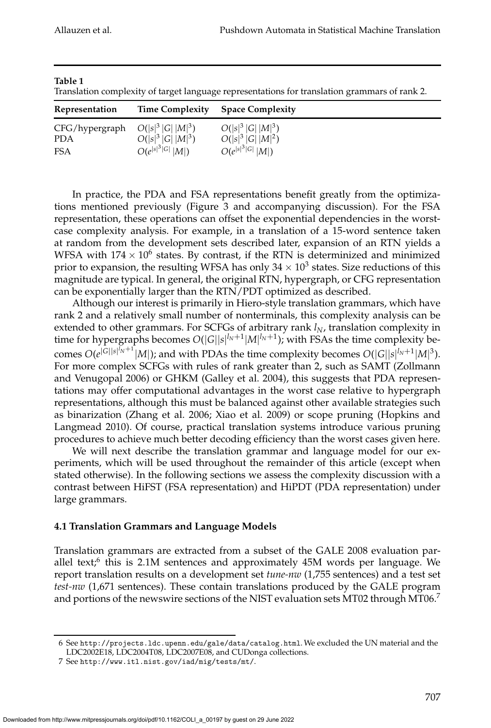|                                                     |                      | Translation complexity of target language representations for translation grammars of rank 2. |
|-----------------------------------------------------|----------------------|-----------------------------------------------------------------------------------------------|
| Representation                                      |                      | Time Complexity Space Complexity                                                              |
| $CFG/hypergraph$ $O( s ^3  G   M ^3)$<br><b>PDA</b> | $O( s ^3  G   M ^3)$ | $O( s ^3  G   M ^3)$<br>$O( s ^3  G   M ^2)$                                                  |

 $|s|^3|G|$   $|M|$ )

|*s*| 3 |*G*| |*M*|) *O*(*e*

**Table 1**

 $FSA$ 

Translation complexity of target language representations for translation grammars of rank 2.

In practice, the PDA and FSA representations benefit greatly from the optimizations mentioned previously (Figure 3 and accompanying discussion). For the FSA representation, these operations can offset the exponential dependencies in the worstcase complexity analysis. For example, in a translation of a 15-word sentence taken at random from the development sets described later, expansion of an RTN yields a WFSA with 174  $\times$  10<sup>6</sup> states. By contrast, if the RTN is determinized and minimized prior to expansion, the resulting WFSA has only 34  $\times$  10 $^3$  states. Size reductions of this magnitude are typical. In general, the original RTN, hypergraph, or CFG representation can be exponentially larger than the RTN/PDT optimized as described.

Although our interest is primarily in Hiero-style translation grammars, which have rank 2 and a relatively small number of nonterminals, this complexity analysis can be extended to other grammars. For SCFGs of arbitrary rank *lN*, translation complexity in time for hypergraphs becomes  $O(|G||s|^{l_N+1}|M|^{l_N+1})$ ; with FSAs the time complexity becomes  $O(e^{|G||s|^{l_N+1}}|M|)$ ; and with PDAs the time complexity becomes  $O(|G||s|^{l_N+1}|M|^3)$ . For more complex SCFGs with rules of rank greater than 2, such as SAMT (Zollmann and Venugopal 2006) or GHKM (Galley et al. 2004), this suggests that PDA representations may offer computational advantages in the worst case relative to hypergraph representations, although this must be balanced against other available strategies such as binarization (Zhang et al. 2006; Xiao et al. 2009) or scope pruning (Hopkins and Langmead 2010). Of course, practical translation systems introduce various pruning procedures to achieve much better decoding efficiency than the worst cases given here.

We will next describe the translation grammar and language model for our experiments, which will be used throughout the remainder of this article (except when stated otherwise). In the following sections we assess the complexity discussion with a contrast between HiFST (FSA representation) and HiPDT (PDA representation) under large grammars.

# **4.1 Translation Grammars and Language Models**

Translation grammars are extracted from a subset of the GALE 2008 evaluation parallel text; $^6$  this is 2.1M sentences and approximately 45M words per language. We report translation results on a development set *tune-nw* (1,755 sentences) and a test set *test-nw* (1,671 sentences). These contain translations produced by the GALE program and portions of the newswire sections of the NIST evaluation sets MT02 through MT06.<sup>7</sup>

<sup>6</sup> See http://projects.ldc.upenn.edu/gale/data/catalog.html. We excluded the UN material and the LDC2002E18, LDC2004T08, LDC2007E08, and CUDonga collections.

<sup>7</sup> See http://www.itl.nist.gov/iad/mig/tests/mt/.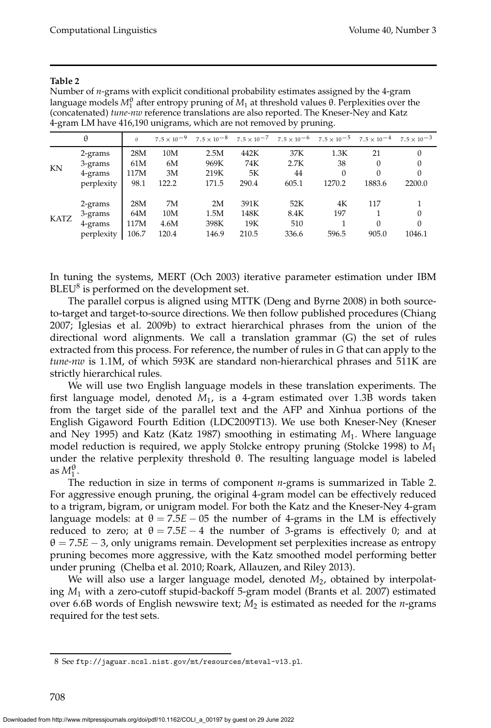| $\cdot$     |            |              |                      |       |       | . .   | $\cdot$                                                                                                  |          |                      |
|-------------|------------|--------------|----------------------|-------|-------|-------|----------------------------------------------------------------------------------------------------------|----------|----------------------|
|             | θ          | $\mathbf{0}$ | $7.5 \times 10^{-9}$ |       |       |       | $7.5 \times 10^{-8}$ $7.5 \times 10^{-7}$ $7.5 \times 10^{-6}$ $7.5 \times 10^{-5}$ $7.5 \times 10^{-4}$ |          | $7.5 \times 10^{-3}$ |
|             | 2-grams    | 28M          | 10M                  | 2.5M  | 442K  | 37K   | 1.3K                                                                                                     | 21       | $\Omega$             |
|             | 3-grams    | 61M          | 6M                   | 969K  | 74K   | 2.7K  | 38                                                                                                       | $\Omega$ | 0                    |
| KN          | 4-grams    | 117M         | 3M                   | 219K  | 5Κ    | 44    |                                                                                                          | $\Omega$ | 0                    |
|             | perplexity | 98.1         | 122.2                | 171.5 | 290.4 | 605.1 | 1270.2                                                                                                   | 1883.6   | 2200.0               |
|             | 2-grams    | 28M          | 7M                   | 2M    | 391K  | 52K   | 4K                                                                                                       | 117      |                      |
| <b>KATZ</b> | 3-grams    | 64M          | 10M                  | 1.5M  | 148K  | 8.4K  | 197                                                                                                      |          | 0                    |
|             | 4-grams    | 117M         | 4.6M                 | 398K  | 19K   | 510   |                                                                                                          | $\Omega$ | 0                    |
|             | perplexity | 106.7        | 120.4                | 146.9 | 210.5 | 336.6 | 596.5                                                                                                    | 905.0    | 1046.1               |

#### **Table 2**

Number of *n*-grams with explicit conditional probability estimates assigned by the 4-gram language models  $M_1^{\theta}$  after entropy pruning of  $M_1$  at threshold values  $\theta$ . Perplexities over the (concatenated) *tune-nw* reference translations are also reported. The Kneser-Ney and Katz 4-gram LM have 416,190 unigrams, which are not removed by pruning.

In tuning the systems, MERT (Och 2003) iterative parameter estimation under IBM  $BLEU<sup>8</sup>$  is performed on the development set.

The parallel corpus is aligned using MTTK (Deng and Byrne 2008) in both sourceto-target and target-to-source directions. We then follow published procedures (Chiang 2007; Iglesias et al. 2009b) to extract hierarchical phrases from the union of the directional word alignments. We call a translation grammar (G) the set of rules extracted from this process. For reference, the number of rules in *G* that can apply to the *tune-nw* is 1.1M, of which 593K are standard non-hierarchical phrases and 511K are strictly hierarchical rules.

We will use two English language models in these translation experiments. The first language model, denoted *M*<sup>1</sup> , is a 4-gram estimated over 1.3B words taken from the target side of the parallel text and the AFP and Xinhua portions of the English Gigaword Fourth Edition (LDC2009T13). We use both Kneser-Ney (Kneser and Ney 1995) and Katz (Katz 1987) smoothing in estimating *M*<sup>1</sup> . Where language model reduction is required, we apply Stolcke entropy pruning (Stolcke 1998) to *M*<sup>1</sup> under the relative perplexity threshold θ. The resulting language model is labeled as  $M_1^{\theta}$ .

The reduction in size in terms of component *n*-grams is summarized in Table 2. For aggressive enough pruning, the original 4-gram model can be effectively reduced to a trigram, bigram, or unigram model. For both the Katz and the Kneser-Ney 4-gram language models: at  $\theta = 7.5E - 05$  the number of 4-grams in the LM is effectively reduced to zero; at  $\theta = 7.5E - 4$  the number of 3-grams is effectively 0; and at  $\theta = 7.5E - 3$ , only unigrams remain. Development set perplexities increase as entropy pruning becomes more aggressive, with the Katz smoothed model performing better under pruning (Chelba et al. 2010; Roark, Allauzen, and Riley 2013).

We will also use a larger language model, denoted  $M_2$ , obtained by interpolating *M*<sup>1</sup> with a zero-cutoff stupid-backoff 5-gram model (Brants et al. 2007) estimated over 6.6B words of English newswire text; *M*<sup>2</sup> is estimated as needed for the *n*-grams required for the test sets.

<sup>8</sup> See ftp://jaguar.ncsl.nist.gov/mt/resources/mteval-v13.pl.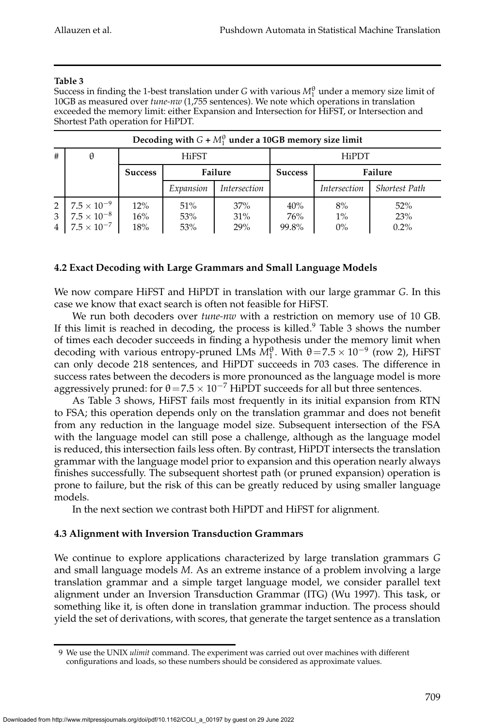#### **Table 3**

Success in finding the 1-best translation under *G* with various  $M_1^{\theta}$  under a memory size limit of 10GB as measured over *tune-nw* (1,755 sentences). We note which operations in translation exceeded the memory limit: either Expansion and Intersection for HiFST, or Intersection and Shortest Path operation for HiPDT.

|                                                   |                                                                    |                   |                   | Decoding with $G + M_1^{\circ}$ under a 10GB memory size limit |                     |                      |                          |
|---------------------------------------------------|--------------------------------------------------------------------|-------------------|-------------------|----------------------------------------------------------------|---------------------|----------------------|--------------------------|
| #                                                 | θ                                                                  |                   | <b>HiFST</b>      |                                                                |                     | <b>HiPDT</b>         |                          |
|                                                   |                                                                    | <b>Success</b>    |                   | Failure                                                        | <b>Success</b>      |                      | Failure                  |
|                                                   |                                                                    |                   | Expansion         | <i>Intersection</i>                                            |                     | <i>Intersection</i>  | <b>Shortest Path</b>     |
| $\overline{2}$<br>$\mathbf{3}$<br>$4\overline{ }$ | $7.5\times10^{-9}$<br>$7.5 \times 10^{-8}$<br>$7.5 \times 10^{-7}$ | 12%<br>16%<br>18% | 51%<br>53%<br>53% | 37%<br>31%<br>29%                                              | 40%<br>76%<br>99.8% | 8%<br>$1\%$<br>$0\%$ | $52\%$<br>23%<br>$0.2\%$ |

#### **Decoding with**  $G + M_1^{\theta}$  $_1^{\uplus}$  under a 10GB memory size limit

# **4.2 Exact Decoding with Large Grammars and Small Language Models**

We now compare HiFST and HiPDT in translation with our large grammar *G*. In this case we know that exact search is often not feasible for HiFST.

We run both decoders over *tune-nw* with a restriction on memory use of 10 GB. If this limit is reached in decoding, the process is killed.<sup>9</sup> Table 3 shows the number of times each decoder succeeds in finding a hypothesis under the memory limit when decoding with various entropy-pruned LMs  $\widehat{M}_1^{\theta}$ . With  $\theta = 7.5 \times 10^{-9}$  (row 2), HiFST can only decode 218 sentences, and HiPDT succeeds in 703 cases. The difference in success rates between the decoders is more pronounced as the language model is more aggressively pruned: for  $\theta$  = 7.5 × 10<sup>-7</sup> HiPDT succeeds for all but three sentences.

As Table 3 shows, HiFST fails most frequently in its initial expansion from RTN to FSA; this operation depends only on the translation grammar and does not benefit from any reduction in the language model size. Subsequent intersection of the FSA with the language model can still pose a challenge, although as the language model is reduced, this intersection fails less often. By contrast, HiPDT intersects the translation grammar with the language model prior to expansion and this operation nearly always finishes successfully. The subsequent shortest path (or pruned expansion) operation is prone to failure, but the risk of this can be greatly reduced by using smaller language models.

In the next section we contrast both HiPDT and HiFST for alignment.

# **4.3 Alignment with Inversion Transduction Grammars**

We continue to explore applications characterized by large translation grammars *G* and small language models *M*. As an extreme instance of a problem involving a large translation grammar and a simple target language model, we consider parallel text alignment under an Inversion Transduction Grammar (ITG) (Wu 1997). This task, or something like it, is often done in translation grammar induction. The process should yield the set of derivations, with scores, that generate the target sentence as a translation

<sup>9</sup> We use the UNIX *ulimit* command. The experiment was carried out over machines with different configurations and loads, so these numbers should be considered as approximate values.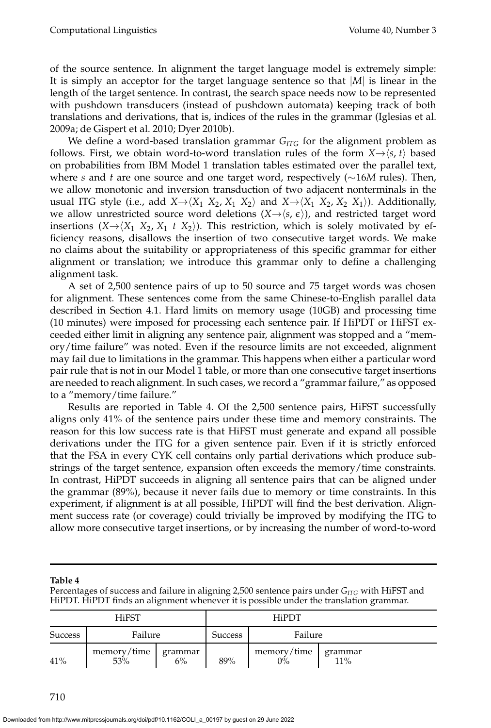of the source sentence. In alignment the target language model is extremely simple: It is simply an acceptor for the target language sentence so that |*M*| is linear in the length of the target sentence. In contrast, the search space needs now to be represented with pushdown transducers (instead of pushdown automata) keeping track of both translations and derivations, that is, indices of the rules in the grammar (Iglesias et al. 2009a; de Gispert et al. 2010; Dyer 2010b).

We define a word-based translation grammar  $G_{ITG}$  for the alignment problem as follows. First, we obtain word-to-word translation rules of the form  $X \rightarrow \langle s, t \rangle$  based on probabilities from IBM Model 1 translation tables estimated over the parallel text, where *s* and *t* are one source and one target word, respectively (∼16*M* rules). Then, we allow monotonic and inversion transduction of two adjacent nonterminals in the usual ITG style (i.e., add  $X \rightarrow \langle X_1 \ X_2, X_1 \ X_2 \rangle$  and  $X \rightarrow \langle X_1 \ X_2, X_2 \ X_1 \rangle$ ). Additionally, we allow unrestricted source word deletions  $(X \rightarrow \langle s, \epsilon \rangle)$ , and restricted target word insertions  $(X \rightarrow \langle X_1 \ X_2, X_1 \ t \ X_2 \rangle)$ . This restriction, which is solely motivated by efficiency reasons, disallows the insertion of two consecutive target words. We make no claims about the suitability or appropriateness of this specific grammar for either alignment or translation; we introduce this grammar only to define a challenging alignment task.

A set of 2,500 sentence pairs of up to 50 source and 75 target words was chosen for alignment. These sentences come from the same Chinese-to-English parallel data described in Section 4.1. Hard limits on memory usage (10GB) and processing time (10 minutes) were imposed for processing each sentence pair. If HiPDT or HiFST exceeded either limit in aligning any sentence pair, alignment was stopped and a "memory/time failure" was noted. Even if the resource limits are not exceeded, alignment may fail due to limitations in the grammar. This happens when either a particular word pair rule that is not in our Model 1 table, or more than one consecutive target insertions are needed to reach alignment. In such cases, we record a "grammar failure," as opposed to a "memory/time failure."

Results are reported in Table 4. Of the 2,500 sentence pairs, HiFST successfully aligns only 41% of the sentence pairs under these time and memory constraints. The reason for this low success rate is that HiFST must generate and expand all possible derivations under the ITG for a given sentence pair. Even if it is strictly enforced that the FSA in every CYK cell contains only partial derivations which produce substrings of the target sentence, expansion often exceeds the memory/time constraints. In contrast, HiPDT succeeds in aligning all sentence pairs that can be aligned under the grammar (89%), because it never fails due to memory or time constraints. In this experiment, if alignment is at all possible, HiPDT will find the best derivation. Alignment success rate (or coverage) could trivially be improved by modifying the ITG to allow more consecutive target insertions, or by increasing the number of word-to-word

#### **Table 4**

Percentages of success and failure in aligning 2,500 sentence pairs under *GITG* with HiFST and HiPDT. HiPDT finds an alignment whenever it is possible under the translation grammar.

|                | <b>HiFST</b>       |               |                | <b>HiPDT</b>      |                   |
|----------------|--------------------|---------------|----------------|-------------------|-------------------|
| <b>Success</b> | Failure            |               | <b>Success</b> | Failure           |                   |
| 41%            | memory/time<br>53% | grammar<br>6% | 89%            | memory/time<br>0% | grammar<br>$11\%$ |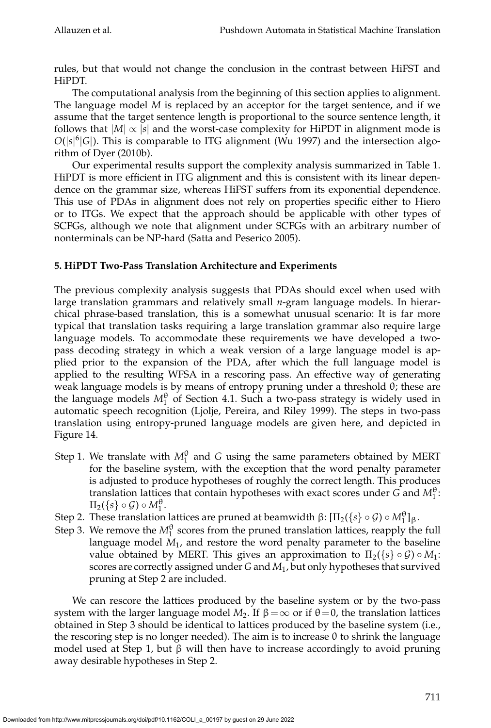rules, but that would not change the conclusion in the contrast between HiFST and HiPDT.

The computational analysis from the beginning of this section applies to alignment. The language model *M* is replaced by an acceptor for the target sentence, and if we assume that the target sentence length is proportional to the source sentence length, it follows that  $|M| \propto |s|$  and the worst-case complexity for HiPDT in alignment mode is  $O(|s|^{6}|G|)$ . This is comparable to ITG alignment (Wu 1997) and the intersection algorithm of Dyer (2010b).

Our experimental results support the complexity analysis summarized in Table 1. HiPDT is more efficient in ITG alignment and this is consistent with its linear dependence on the grammar size, whereas HiFST suffers from its exponential dependence. This use of PDAs in alignment does not rely on properties specific either to Hiero or to ITGs. We expect that the approach should be applicable with other types of SCFGs, although we note that alignment under SCFGs with an arbitrary number of nonterminals can be NP-hard (Satta and Peserico 2005).

# **5. HiPDT Two-Pass Translation Architecture and Experiments**

The previous complexity analysis suggests that PDAs should excel when used with large translation grammars and relatively small *n*-gram language models. In hierarchical phrase-based translation, this is a somewhat unusual scenario: It is far more typical that translation tasks requiring a large translation grammar also require large language models. To accommodate these requirements we have developed a twopass decoding strategy in which a weak version of a large language model is applied prior to the expansion of the PDA, after which the full language model is applied to the resulting WFSA in a rescoring pass. An effective way of generating weak language models is by means of entropy pruning under a threshold θ; these are the language models  $M_1^{\theta}$  of Section 4.1. Such a two-pass strategy is widely used in automatic speech recognition (Ljolje, Pereira, and Riley 1999). The steps in two-pass translation using entropy-pruned language models are given here, and depicted in Figure 14.

- Step 1. We translate with  $M_1^{\theta}$  and *G* using the same parameters obtained by MERT for the baseline system, with the exception that the word penalty parameter is adjusted to produce hypotheses of roughly the correct length. This produces translation lattices that contain hypotheses with exact scores under  $G$  and  $M_1^{\theta}$ :  $\Pi_2({s} \circ \mathcal{G}) \circ M_1^{\theta}$ .
- Step 2. These translation lattices are pruned at beamwidth  $\beta$ : [ $\Pi_2({s} \circ \mathcal{G}) \circ M_1^{\theta}$ ]<sub>β</sub>.
- Step 3. We remove the  $M_1^{\theta}$  scores from the pruned translation lattices, reapply the full language model *M*<sup>1</sup> , and restore the word penalty parameter to the baseline value obtained by MERT. This gives an approximation to  $\Pi_2({s} \, \circ \, \mathcal{G}) \circ M_1$ : scores are correctly assigned under *G* and *M*1, but only hypotheses that survived pruning at Step 2 are included.

We can rescore the lattices produced by the baseline system or by the two-pass system with the larger language model  $M_2$ . If  $β = ∞$  or if  $θ = 0$ , the translation lattices obtained in Step 3 should be identical to lattices produced by the baseline system (i.e., the rescoring step is no longer needed). The aim is to increase  $\theta$  to shrink the language model used at Step 1, but  $\beta$  will then have to increase accordingly to avoid pruning away desirable hypotheses in Step 2.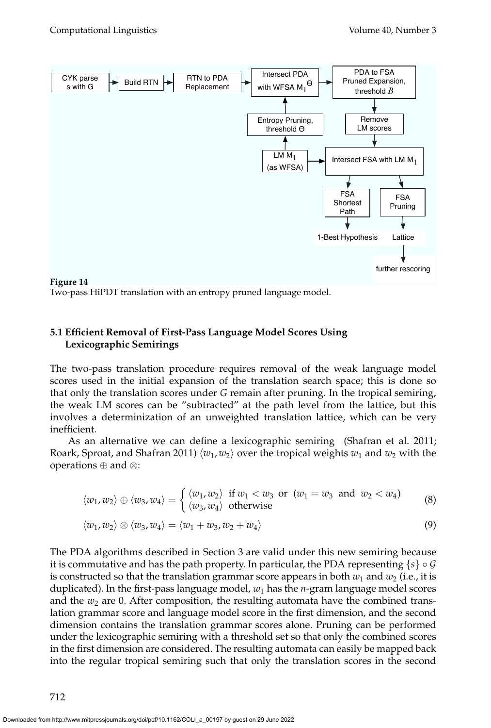

Two-pass HiPDT translation with an entropy pruned language model.

# **5.1 Efficient Removal of First-Pass Language Model Scores Using Lexicographic Semirings**

The two-pass translation procedure requires removal of the weak language model scores used in the initial expansion of the translation search space; this is done so that only the translation scores under *G* remain after pruning. In the tropical semiring, the weak LM scores can be "subtracted" at the path level from the lattice, but this involves a determinization of an unweighted translation lattice, which can be very inefficient.

As an alternative we can define a lexicographic semiring (Shafran et al. 2011; Roark, Sproat, and Shafran 2011)  $\langle w_1, w_2 \rangle$  over the tropical weights  $w_1$  and  $w_2$  with the operations ⊕ and ⊗:

$$
\langle w_1, w_2 \rangle \oplus \langle w_3, w_4 \rangle = \begin{cases} \langle w_1, w_2 \rangle & \text{if } w_1 < w_3 \text{ or } (w_1 = w_3 \text{ and } w_2 < w_4) \\ \langle w_3, w_4 \rangle & \text{otherwise} \end{cases}
$$
 (8)

$$
\langle w_1, w_2 \rangle \otimes \langle w_3, w_4 \rangle = \langle w_1 + w_3, w_2 + w_4 \rangle \tag{9}
$$

The PDA algorithms described in Section 3 are valid under this new semiring because it is commutative and has the path property. In particular, the PDA representing  $\{s\} \circ \mathcal{G}$ is constructed so that the translation grammar score appears in both  $w_1$  and  $w_2$  (i.e., it is duplicated). In the first-pass language model,  $w_1$  has the *n*-gram language model scores and the  $w_2$  are 0. After composition, the resulting automata have the combined translation grammar score and language model score in the first dimension, and the second dimension contains the translation grammar scores alone. Pruning can be performed under the lexicographic semiring with a threshold set so that only the combined scores in the first dimension are considered. The resulting automata can easily be mapped back into the regular tropical semiring such that only the translation scores in the second

712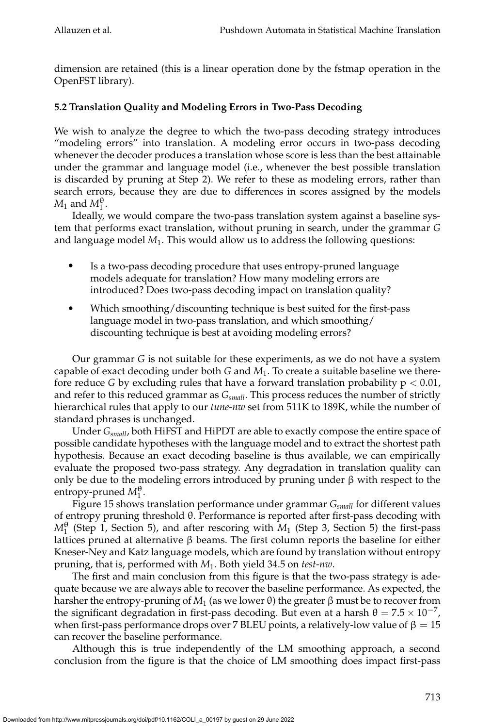dimension are retained (this is a linear operation done by the fstmap operation in the OpenFST library).

# **5.2 Translation Quality and Modeling Errors in Two-Pass Decoding**

We wish to analyze the degree to which the two-pass decoding strategy introduces "modeling errors" into translation. A modeling error occurs in two-pass decoding whenever the decoder produces a translation whose score is less than the best attainable under the grammar and language model (i.e., whenever the best possible translation is discarded by pruning at Step 2). We refer to these as modeling errors, rather than search errors, because they are due to differences in scores assigned by the models  $M_1$  and  $M_1^{\theta}$ .

Ideally, we would compare the two-pass translation system against a baseline system that performs exact translation, without pruning in search, under the grammar *G* and language model *M*<sup>1</sup> . This would allow us to address the following questions:

- r Is a two-pass decoding procedure that uses entropy-pruned language models adequate for translation? How many modeling errors are introduced? Does two-pass decoding impact on translation quality?
- Which smoothing/discounting technique is best suited for the first-pass language model in two-pass translation, and which smoothing/ discounting technique is best at avoiding modeling errors?

Our grammar *G* is not suitable for these experiments, as we do not have a system capable of exact decoding under both *G* and *M*1. To create a suitable baseline we therefore reduce *G* by excluding rules that have a forward translation probability  $p < 0.01$ , and refer to this reduced grammar as *Gsmall*. This process reduces the number of strictly hierarchical rules that apply to our *tune-nw* set from 511K to 189K, while the number of standard phrases is unchanged.

Under *Gsmall*, both HiFST and HiPDT are able to exactly compose the entire space of possible candidate hypotheses with the language model and to extract the shortest path hypothesis. Because an exact decoding baseline is thus available, we can empirically evaluate the proposed two-pass strategy. Any degradation in translation quality can only be due to the modeling errors introduced by pruning under  $\beta$  with respect to the entropy-pruned  $M_1^{\theta}$ .

Figure 15 shows translation performance under grammar *Gsmall* for different values of entropy pruning threshold θ. Performance is reported after first-pass decoding with  $M_1^{\theta}$  (Step 1, Section 5), and after rescoring with  $M_1$  (Step 3, Section 5) the first-pass lattices pruned at alternative β beams. The first column reports the baseline for either Kneser-Ney and Katz language models, which are found by translation without entropy pruning, that is, performed with *M*1. Both yield 34.5 on *test-nw*.

The first and main conclusion from this figure is that the two-pass strategy is adequate because we are always able to recover the baseline performance. As expected, the harsher the entropy-pruning of  $M_1$  (as we lower  $\theta$ ) the greater  $\beta$  must be to recover from the significant degradation in first-pass decoding. But even at a harsh  $θ = 7.5 \times 10^{-7}$ , when first-pass performance drops over 7 BLEU points, a relatively-low value of  $β = 15$ can recover the baseline performance.

Although this is true independently of the LM smoothing approach, a second conclusion from the figure is that the choice of LM smoothing does impact first-pass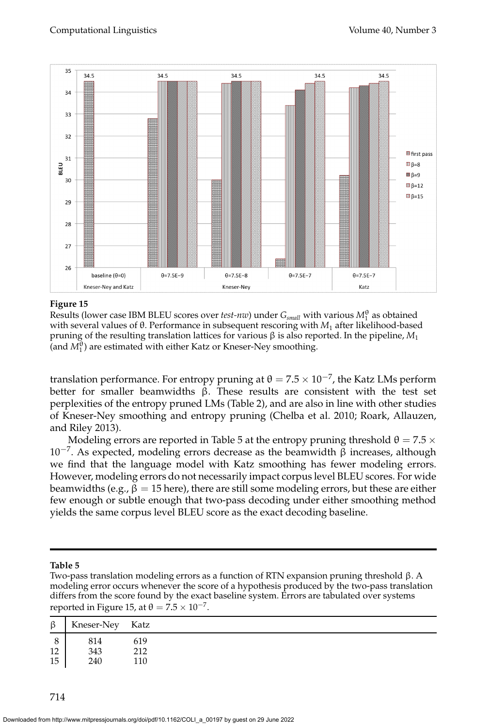

#### **Figure 15**

Results (lower case IBM BLEU scores over *test-nw*) under  $G_{small}$  with various  $M_1^{\theta}$  as obtained with several values of θ. Performance in subsequent rescoring with *M*<sup>1</sup> after likelihood-based pruning of the resulting translation lattices for various β is also reported. In the pipeline, *M*<sup>1</sup> (and  $M_1^{\theta}$ ) are estimated with either Katz or Kneser-Ney smoothing.

translation performance. For entropy pruning at  $\theta = 7.5 \times 10^{-7}$ , the Katz LMs perform better for smaller beamwidths  $\beta$ . These results are consistent with the test set perplexities of the entropy pruned LMs (Table 2), and are also in line with other studies of Kneser-Ney smoothing and entropy pruning (Chelba et al. 2010; Roark, Allauzen, and Riley 2013).

Modeling errors are reported in Table 5 at the entropy pruning threshold  $\theta = 7.5 \times$ 10<sup>-7</sup>. As expected, modeling errors decrease as the beamwidth  $\beta$  increases, although we find that the language model with Katz smoothing has fewer modeling errors. However, modeling errors do not necessarily impact corpus level BLEU scores. For wide beamwidths (e.g.,  $\beta = 15$  here), there are still some modeling errors, but these are either few enough or subtle enough that two-pass decoding under either smoothing method yields the same corpus level BLEU score as the exact decoding baseline.

#### **Table 5**

Two-pass translation modeling errors as a function of RTN expansion pruning threshold β. A modeling error occurs whenever the score of a hypothesis produced by the two-pass translation differs from the score found by the exact baseline system. Errors are tabulated over systems reported in Figure 15, at  $\theta = 7.5 \times 10^{-7}$ .

| $\beta$ | Kneser-Ney Katz |     |
|---------|-----------------|-----|
| 8       | 814             | 619 |
| 12      | 343             | 212 |
| 15      | 240             | 110 |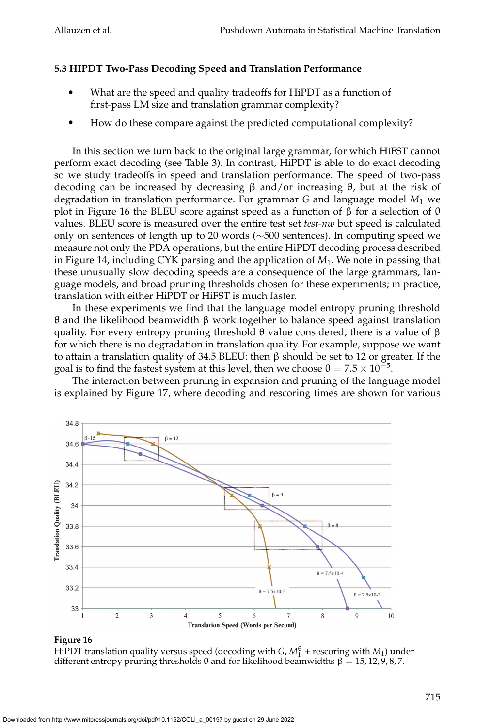# **5.3 HIPDT Two-Pass Decoding Speed and Translation Performance**

- What are the speed and quality tradeoffs for HiPDT as a function of first-pass LM size and translation grammar complexity?
- How do these compare against the predicted computational complexity?

In this section we turn back to the original large grammar, for which HiFST cannot perform exact decoding (see Table 3). In contrast, HiPDT is able to do exact decoding so we study tradeoffs in speed and translation performance. The speed of two-pass decoding can be increased by decreasing β and/or increasing θ, but at the risk of degradation in translation performance. For grammar *G* and language model *M*<sup>1</sup> we plot in Figure 16 the BLEU score against speed as a function of β for a selection of θ values. BLEU score is measured over the entire test set *test-nw* but speed is calculated only on sentences of length up to 20 words (∼500 sentences). In computing speed we measure not only the PDA operations, but the entire HiPDT decoding process described in Figure 14, including CYK parsing and the application of *M*1. We note in passing that these unusually slow decoding speeds are a consequence of the large grammars, language models, and broad pruning thresholds chosen for these experiments; in practice, translation with either HiPDT or HiFST is much faster.

In these experiments we find that the language model entropy pruning threshold θ and the likelihood beamwidth β work together to balance speed against translation quality. For every entropy pruning threshold θ value considered, there is a value of  $β$ for which there is no degradation in translation quality. For example, suppose we want to attain a translation quality of 34.5 BLEU: then β should be set to 12 or greater. If the goal is to find the fastest system at this level, then we choose  $\theta = 7.5 \times 10^{-5}$ .

The interaction between pruning in expansion and pruning of the language model is explained by Figure 17, where decoding and rescoring times are shown for various



# **Figure 16**

HiPDT translation quality versus speed (decoding with  $G$ ,  $M_1^{\theta}$  + rescoring with  $M_1$ ) under different entropy pruning thresholds θ and for likelihood beamwidths  $β = 15, 12, 9, 8, 7$ .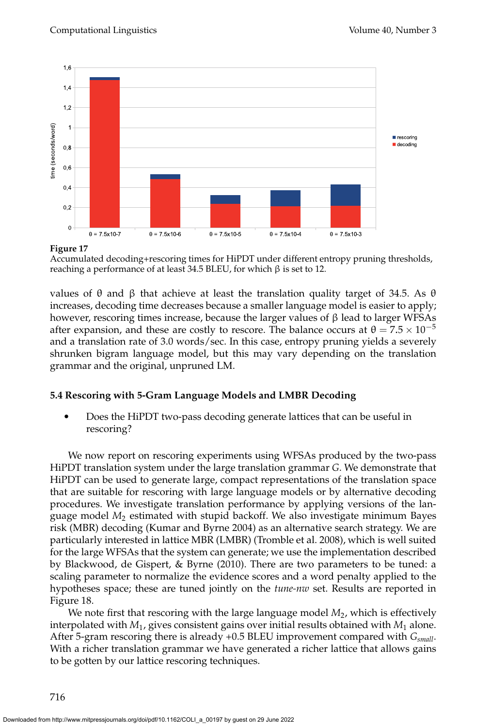

**Figure 17**

Accumulated decoding+rescoring times for HiPDT under different entropy pruning thresholds, reaching a performance of at least 34.5 BLEU, for which β is set to 12.

values of  $θ$  and  $β$  that achieve at least the translation quality target of 34.5. As  $θ$ increases, decoding time decreases because a smaller language model is easier to apply; however, rescoring times increase, because the larger values of β lead to larger WFSAs after expansion, and these are costly to rescore. The balance occurs at  $\theta = 7.5 \times 10^{-5}$ and a translation rate of 3.0 words/sec. In this case, entropy pruning yields a severely shrunken bigram language model, but this may vary depending on the translation grammar and the original, unpruned LM.

# **5.4 Rescoring with 5-Gram Language Models and LMBR Decoding**

Does the HiPDT two-pass decoding generate lattices that can be useful in rescoring?

We now report on rescoring experiments using WFSAs produced by the two-pass HiPDT translation system under the large translation grammar *G*. We demonstrate that HiPDT can be used to generate large, compact representations of the translation space that are suitable for rescoring with large language models or by alternative decoding procedures. We investigate translation performance by applying versions of the language model *M*<sup>2</sup> estimated with stupid backoff. We also investigate minimum Bayes risk (MBR) decoding (Kumar and Byrne 2004) as an alternative search strategy. We are particularly interested in lattice MBR (LMBR) (Tromble et al. 2008), which is well suited for the large WFSAs that the system can generate; we use the implementation described by Blackwood, de Gispert, & Byrne (2010). There are two parameters to be tuned: a scaling parameter to normalize the evidence scores and a word penalty applied to the hypotheses space; these are tuned jointly on the *tune-nw* set. Results are reported in Figure 18.

We note first that rescoring with the large language model  $M_2$ , which is effectively interpolated with  $M_1$ , gives consistent gains over initial results obtained with  $M_1$  alone. After 5-gram rescoring there is already +0.5 BLEU improvement compared with *Gsmall*. With a richer translation grammar we have generated a richer lattice that allows gains to be gotten by our lattice rescoring techniques.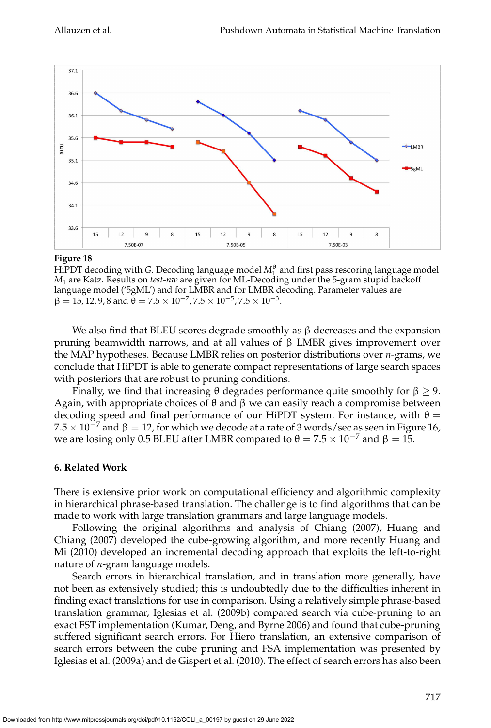

#### **Figure 18**

HiPDT decoding with *G*. Decoding language model  $M_1^{\theta}$  and first pass rescoring language model *M*<sup>1</sup> are Katz. Results on *test-nw* are given for ML-Decoding under the 5-gram stupid backoff language model ('5gML') and for LMBR and for LMBR decoding. Parameter values are  $β = 15, 12, 9, 8$  and  $θ = 7.5 × 10<sup>-7</sup>, 7.5 × 10<sup>-5</sup>, 7.5 × 10<sup>-3</sup>.$ 

We also find that BLEU scores degrade smoothly as  $\beta$  decreases and the expansion pruning beamwidth narrows, and at all values of β LMBR gives improvement over the MAP hypotheses. Because LMBR relies on posterior distributions over *n*-grams, we conclude that HiPDT is able to generate compact representations of large search spaces with posteriors that are robust to pruning conditions.

Finally, we find that increasing  $\theta$  degrades performance quite smoothly for  $\beta \ge 9$ . Again, with appropriate choices of θ and β we can easily reach a compromise between decoding speed and final performance of our HiPDT system. For instance, with  $\theta =$  $7.5\times10^{-7}$  and β  $=12$ , for which we decode at a rate of 3 words/sec as seen in Figure 16, we are losing only 0.5 BLEU after LMBR compared to  $\theta = 7.5 \times 10^{-7}$  and  $\beta = 15$ .

# **6. Related Work**

There is extensive prior work on computational efficiency and algorithmic complexity in hierarchical phrase-based translation. The challenge is to find algorithms that can be made to work with large translation grammars and large language models.

Following the original algorithms and analysis of Chiang (2007), Huang and Chiang (2007) developed the cube-growing algorithm, and more recently Huang and Mi (2010) developed an incremental decoding approach that exploits the left-to-right nature of *n*-gram language models.

Search errors in hierarchical translation, and in translation more generally, have not been as extensively studied; this is undoubtedly due to the difficulties inherent in finding exact translations for use in comparison. Using a relatively simple phrase-based translation grammar, Iglesias et al. (2009b) compared search via cube-pruning to an exact FST implementation (Kumar, Deng, and Byrne 2006) and found that cube-pruning suffered significant search errors. For Hiero translation, an extensive comparison of search errors between the cube pruning and FSA implementation was presented by Iglesias et al. (2009a) and de Gispert et al. (2010). The effect of search errors has also been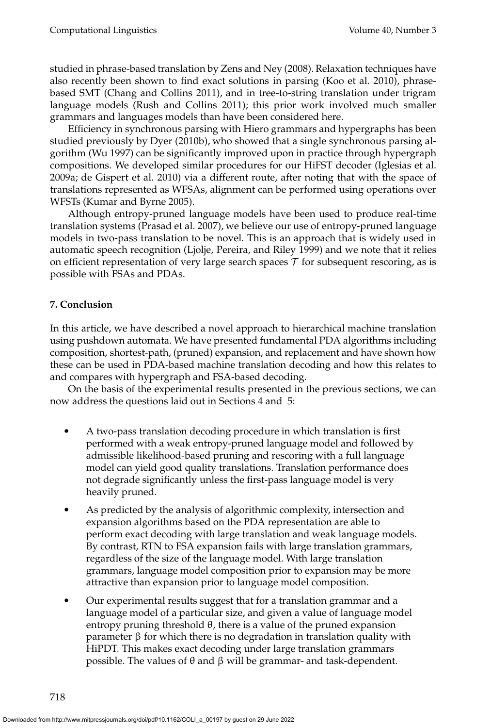studied in phrase-based translation by Zens and Ney (2008). Relaxation techniques have also recently been shown to find exact solutions in parsing (Koo et al. 2010), phrasebased SMT (Chang and Collins 2011), and in tree-to-string translation under trigram language models (Rush and Collins 2011); this prior work involved much smaller grammars and languages models than have been considered here.

Efficiency in synchronous parsing with Hiero grammars and hypergraphs has been studied previously by Dyer (2010b), who showed that a single synchronous parsing algorithm (Wu 1997) can be significantly improved upon in practice through hypergraph compositions. We developed similar procedures for our HiFST decoder (Iglesias et al. 2009a; de Gispert et al. 2010) via a different route, after noting that with the space of translations represented as WFSAs, alignment can be performed using operations over WFSTs (Kumar and Byrne 2005).

Although entropy-pruned language models have been used to produce real-time translation systems (Prasad et al. 2007), we believe our use of entropy-pruned language models in two-pass translation to be novel. This is an approach that is widely used in automatic speech recognition (Ljolje, Pereira, and Riley 1999) and we note that it relies on efficient representation of very large search spaces  $\mathcal T$  for subsequent rescoring, as is possible with FSAs and PDAs.

# **7. Conclusion**

In this article, we have described a novel approach to hierarchical machine translation using pushdown automata. We have presented fundamental PDA algorithms including composition, shortest-path, (pruned) expansion, and replacement and have shown how these can be used in PDA-based machine translation decoding and how this relates to and compares with hypergraph and FSA-based decoding.

On the basis of the experimental results presented in the previous sections, we can now address the questions laid out in Sections 4 and 5:

- A two-pass translation decoding procedure in which translation is first performed with a weak entropy-pruned language model and followed by admissible likelihood-based pruning and rescoring with a full language model can yield good quality translations. Translation performance does not degrade significantly unless the first-pass language model is very heavily pruned.
- As predicted by the analysis of algorithmic complexity, intersection and expansion algorithms based on the PDA representation are able to perform exact decoding with large translation and weak language models. By contrast, RTN to FSA expansion fails with large translation grammars, regardless of the size of the language model. With large translation grammars, language model composition prior to expansion may be more attractive than expansion prior to language model composition.
- Our experimental results suggest that for a translation grammar and a language model of a particular size, and given a value of language model entropy pruning threshold  $\theta$ , there is a value of the pruned expansion parameter β for which there is no degradation in translation quality with HiPDT. This makes exact decoding under large translation grammars possible. The values of θ and β will be grammar- and task-dependent.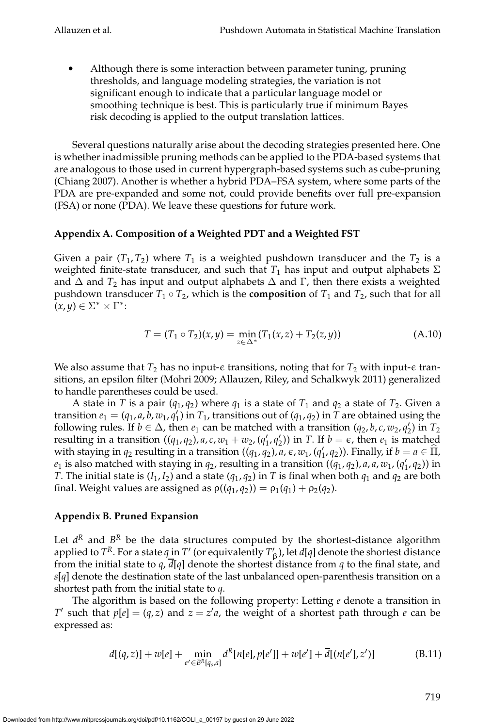• Although there is some interaction between parameter tuning, pruning thresholds, and language modeling strategies, the variation is not significant enough to indicate that a particular language model or smoothing technique is best. This is particularly true if minimum Bayes risk decoding is applied to the output translation lattices.

Several questions naturally arise about the decoding strategies presented here. One is whether inadmissible pruning methods can be applied to the PDA-based systems that are analogous to those used in current hypergraph-based systems such as cube-pruning (Chiang 2007). Another is whether a hybrid PDA–FSA system, where some parts of the PDA are pre-expanded and some not, could provide benefits over full pre-expansion (FSA) or none (PDA). We leave these questions for future work.

# **Appendix A. Composition of a Weighted PDT and a Weighted FST**

Given a pair  $(T_1,T_2)$  where  $T_1$  is a weighted pushdown transducer and the  $T_2$  is a weighted finite-state transducer, and such that  $T_1$  has input and output alphabets  $\Sigma$ and  $\Delta$  and  $T_2$  has input and output alphabets  $\Delta$  and  $\Gamma$ , then there exists a weighted pushdown transducer  $T_1 \circ T_2$ , which is the **composition** of  $T_1$  and  $T_2$ , such that for all  $(x, y) \in \Sigma^* \times \Gamma^*$ 

$$
T = (T_1 \circ T_2)(x, y) = \min_{z \in \Delta^*} (T_1(x, z) + T_2(z, y))
$$
\n(A.10)

We also assume that  $T_2$  has no input- $\epsilon$  transitions, noting that for  $T_2$  with input- $\epsilon$  transitions, an epsilon filter (Mohri 2009; Allauzen, Riley, and Schalkwyk 2011) generalized to handle parentheses could be used.

A state in *T* is a pair ( $q_1$ ,  $q_2$ ) where  $q_1$  is a state of  $T_1$  and  $q_2$  a state of  $T_2$ . Given a transition  $e_1 = (q_1, a, b, w_1, q_1')$  in  $T_1$ , transitions out of  $(q_1, q_2)$  in  $T$  are obtained using the following rules. If  $b \in \Delta$ , then  $e_1$  can be matched with a transition  $(q_2, b, c, w_2, q'_2)$  in  $T_2$ resulting in a transition  $((q_1, q_2), a, c, w_1 + w_2, (q'_1, q'_2))$  in *T*. If  $b = \epsilon$ , then  $e_1$  is matched with staying in  $q_2$  resulting in a transition  $((q_1, q_2), a, \epsilon, w_1, (q_1', q_2))$ . Finally, if  $b = a \in \widehat{\Pi}$ ,  $e_1$  is also matched with staying in  $q_2$ , resulting in a transition  $((q_1, q_2)$ , *a*, *a*, *w*<sub>1</sub>,  $(q'_1, q_2)$ ) in *T*. The initial state is  $(I_1, I_2)$  and a state  $(q_1, q_2)$  in *T* is final when both  $q_1$  and  $q_2$  are both final. Weight values are assigned as  $\rho((q_1, q_2)) = \rho_1(q_1) + \rho_2(q_2)$ .

# **Appendix B. Pruned Expansion**

Let  $d^R$  and  $B^R$  be the data structures computed by the shortest-distance algorithm applied to  $T^R$ . For a state  $q$  in  $T'$  (or equivalently  $T'_{\beta}$  ), let  $d[q]$  denote the shortest distance from the initial state to *q*, *d*[*q*] denote the shortest distance from *q* to the final state, and *s*[*q*] denote the destination state of the last unbalanced open-parenthesis transition on a shortest path from the initial state to *q*.

The algorithm is based on the following property: Letting *e* denote a transition in *T*<sup> $\prime$ </sup> such that  $p[e] = (q, z)$  and  $z = z'a$ , the weight of a shortest path through *e* can be expressed as:

$$
d[(q,z)] + w[e] + \min_{e' \in B^{R}[q_s,a]} d^{R}[n[e],p[e']] + w[e'] + \overline{d}[(n[e'],z')]
$$
(B.11)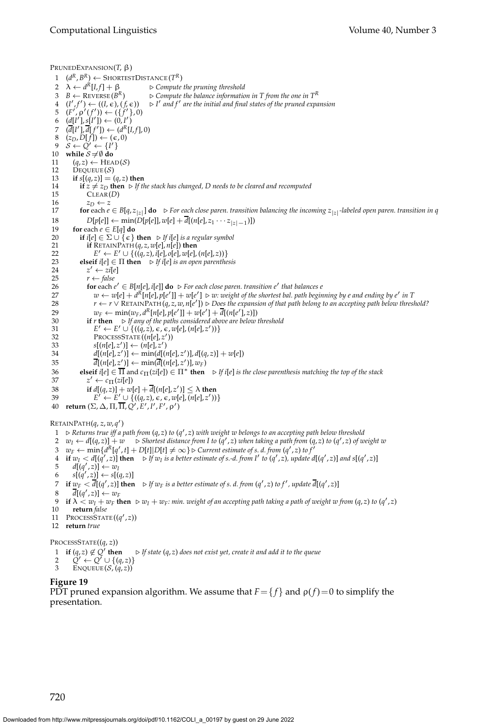PRUNEDEXPANSION(*T*, β) 1 ( $d^R$ ,  $B^R$ ) ← ShortestDistance ( $T^R$ ) 2  $\lambda \leftarrow d^R[I,f] + \beta$  $▶$  *Compute the pruning threshold* 3  $B \leftarrow$  REVERSE  $(B^R)$ *R*)  $\triangleright$  *Compute the balance information in T from the one in*  $T^R$  $(1', f') \leftarrow ((I, \epsilon), (f, \epsilon)) \Rightarrow I$ ′ *and f* ′ *are the initial and final states of the pruned expansion* 5 (*F'*, ρ'(*f'*)) ← ({*f'*}, 0) 6  $(d[I'], s[I']) \leftarrow (0, I')$  $7 \quad (\overline{d}[I'], \overline{d}[f']) \leftarrow (d^R[I, f], 0)$ 8  $(z_D, D[f]) \leftarrow (\epsilon, 0)$  $9 \quad S \leftarrow \tilde{Q}' \leftarrow \{I'\}$ 10 **while**  $S \neq \emptyset$  **do** 11  $(q, z)$  ← HEAD(S)<br>12 DEQUEUE(S)  $DecuE(E)$ 13 **if**  $s[(q, z)] = (q, z)$  then 14 **if**  $z ≠ z_D$  **then** ⊳ *If the stack has changed, D needs to be cleared and recomputed* 15 CLEAR(*D*)  $CLEAR(D)$ 16  $z_D \leftarrow z$ <br>17 **for** each *e* **for** each  $e \in B[q, z_{|z|}]$  **do** ⊳ *For each close paren. transition balancing the incoming*  $z_{|z|}$ -labeled open paren. transition in *q* 18 *D*[*p*[*e*]] ← min(*D*[*p*[*e*]], *w*[*e*] +  $\overline{d}$ [(*n*[*e*], *z*<sub>1</sub> · · · *z*<sub>|*z*|−1</sub>)]) 19 **for** each  $e \in E[q]$  **do**<br>20 **if**  $i[e] \in \Sigma \cup \{ \epsilon \}$ 20 **if**  $i[e] \in \Sigma \cup \{e\}$  **then**  $\triangleright$  *If*  $i[e]$  *is a regular symbol* 21 **if** RETAINPATH  $(q, z, w[e], n[e])$  **then**  $i$ **f** RETAINPATH  $(q, z, w[e], n[e])$  then 22  $E' \leftarrow E' \cup \{((q, z), i[e], o[e], w[e], (n[e], z))\}$ 23 **elseif**  $i[e] \in \Pi$  **then**  $\triangleright$  *If*  $i[e]$  *is an open parenthesis* 24 *z*  $z' \leftarrow zi[e]$ 25  $r \leftarrow false$ <br>26 **for** each *e* 26 **for** each  $e' \in B[n[e], i[e]]$  **do**  $\triangleright$  *For each close paren. transition*  $e'$  *that balances e*  $w \leftarrow w[e] + d^R[n[e], p[e']] + w[e'] \triangleright w$ : weight of the shortest bal. path beginning by e and ending by e' in T 28  $r \leftarrow r \vee \text{RETAINPATH}(q, z, w, n[e')] \triangleright \text{Does the expansion of that path belong to an accepting path below threshold?}$ 29  $w_F \leftarrow \min(w_F, d^R[n[e], p[e']] + w[e'] + \overline{d}[(n[e'], z)])$ 30 **if** *r* **then** ⊲ *If any of the paths considered above are below threshold* 31  $E' \leftarrow E' \cup \{((q, z), \epsilon, \epsilon, w[e], (n[e], z'))\}$ 32 PROCESSSTATE ((*n*[*e*], *z* ′ )) 33  $s[(n[e], z')] \leftarrow (n[e], z')$ 34  $d[(n[e], z')] \leftarrow \min(d[(n[e], z')]$ ,  $d[(q, z)] + w[e]$ 35  $\overline{d}[(n[e],z')] \leftarrow \min(\overline{d}[(n[e],z')],w_F)$ 36 **elseif**  $i[e] \in \overline{\Pi}$  and  $c_{\Pi}(zi[e]) \in \Pi^*$  **then**  $\triangleright$  *If*  $i[e]$  *is the close parenthesis matching the top of the stack*  $\preceq^r \leftarrow c_{\Pi}(zi[e])$ 37  $z' \leftarrow c_{\Pi}(zi[e])$ 38 **if**  $d[(q, z)] + w[e] + \overline{d}[(n[e], z')] \le \lambda$  then<br>39  $F' \leftarrow F' \cup f((q, z) \in \mathcal{E}$  when  $(n[e], z'))$ 39  $E' \leftarrow E' \cup \{((q, z), \epsilon, \epsilon, w[e], (n[e], z'))\}$ <br>40 **return** (Σ, Δ, Π, Π, Q', E', I', F', ρ') RETAINPATH(*q*, *z*, *w*, *q* ′ ) 1 ⊲ *Returns true iff a path from* (*q*, *z*) *to* (*q* ′ , *z*) *with weight w belongs to an accepting path below threshold*  $2\quad w_I \leftarrow d[(q,z)] + w \quad \rhd$  Shortest distance from I to  $(q',z)$  when taking a path from  $(q,z)$  to  $(q',z)$  of weight w 3  $w_F \leftarrow \min\{d^R[q', t] + D[t]|D[t] \neq \infty\} \triangleright$  *Current estimate of s. d. from* (*q'*, *z*) *to f* ′ 4 if  $w_I < d[(q', z)]$  then  $\Rightarrow$  If  $w_I$  is a better estimate of s.-d. from I' to  $(q', z)$ , update  $d[(q', z)]$  and  $s[(q', z)]$ 5  $d[(q', z)] \leftarrow w_I$ 6  $s[(q', z)] \leftarrow s[(q, z)]$ 7 if  $w_F < \overline{d}[(q', z)]$  then  $\Rightarrow$  *If*  $w_F$  *is a better estimate of s. d. from*  $(q', z)$  to f', update  $\overline{d}[(q', z)]$  $\overline{d}[(q',z)] \leftarrow w_F$ 9 if  $\lambda < w_I + w_F$  then  $\triangleright w_I + w_F$ : min. weight of an accepting path taking a path of weight w from  $(q, z)$  to  $(q', z)$ 10 **return** *false* 11 PROCESSSTATE $((q', z))$ 12 **return** *true* PROCESSSTATE((*q*, *z*)) 1 **if**  $(q, z) \notin Q'$ **then** ⊲ *If state* (*q*, *z*) *does not exist yet, create it and add it to the queue* 2  $Q'$  ←  $Q'$  ∪ {(*q*, *z*)} 3 ENQUEUE  $(S, (q, z))$ 

**Figure 19**

PDT pruned expansion algorithm. We assume that  $F = \{f\}$  and  $\rho(f) = 0$  to simplify the presentation.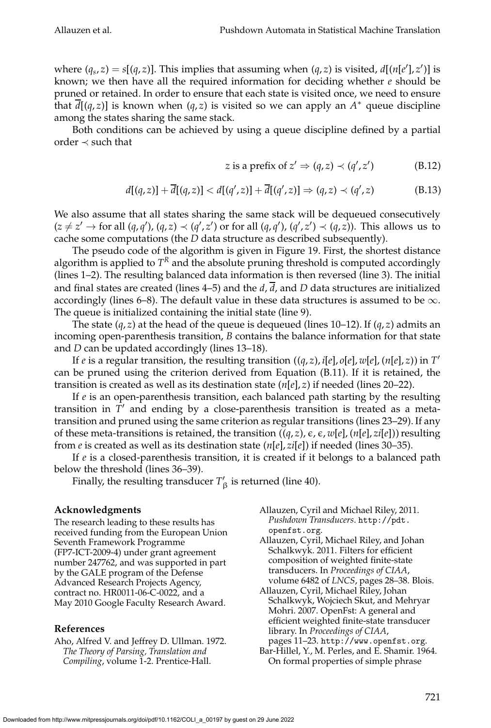where  $(q_s, z) = s[(q, z)]$ . This implies that assuming when  $(q, z)$  is visited,  $d[(n[e'], z')]$  is known; we then have all the required information for deciding whether *e* should be pruned or retained. In order to ensure that each state is visited once, we need to ensure that *d*[(*q*, *z*)] is known when (*q*, *z*) is visited so we can apply an *A* <sup>∗</sup> queue discipline among the states sharing the same stack.

Both conditions can be achieved by using a queue discipline defined by a partial order ≺ such that

z is a prefix of 
$$
z' \Rightarrow (q, z) \prec (q', z')
$$
 (B.12)

$$
d[(q,z)] + \overline{d}[(q,z)] < d[(q',z)] + \overline{d}[(q',z)] \Rightarrow (q,z) \prec (q',z) \tag{B.13}
$$

We also assume that all states sharing the same stack will be dequeued consecutively  $(z \neq z' \rightarrow$  for all  $(q, q'), (q, z) \prec (q', z')$  or for all  $(q, q'), (q', z') \prec (q, z)$ ). This allows us to cache some computations (the *D* data structure as described subsequently).

The pseudo code of the algorithm is given in Figure 19. First, the shortest distance algorithm is applied to  $T^R$  and the absolute pruning threshold is computed accordingly (lines 1–2). The resulting balanced data information is then reversed (line 3). The initial and final states are created (lines 4–5) and the  $d$ ,  $\overline{d}$ , and *D* data structures are initialized accordingly (lines 6–8). The default value in these data structures is assumed to be  $\infty$ . The queue is initialized containing the initial state (line 9).

The state (*q*, *z*) at the head of the queue is dequeued (lines 10–12). If (*q*, *z*) admits an incoming open-parenthesis transition, *B* contains the balance information for that state and *D* can be updated accordingly (lines 13–18).

If *e* is a regular transition, the resulting transition ((*q*, *z*), *i*[*e*], *o*[*e*], *w*[*e*], (*n*[*e*], *z*)) in *T* ′ can be pruned using the criterion derived from Equation (B.11). If it is retained, the transition is created as well as its destination state (*n*[*e*], *z*) if needed (lines 20–22).

If *e* is an open-parenthesis transition, each balanced path starting by the resulting transition in  $\overline{T}'$  and ending by a close-parenthesis transition is treated as a metatransition and pruned using the same criterion as regular transitions (lines 23–29). If any of these meta-transitions is retained, the transition  $((q, z)$ ,  $\epsilon$ ,  $\epsilon$ ,  $w[e]$ ,  $(n[e], zi[e])$ ) resulting from *e* is created as well as its destination state (*n*[*e*], *zi*[*e*]) if needed (lines 30–35).

If *e* is a closed-parenthesis transition, it is created if it belongs to a balanced path below the threshold (lines 36–39).

Finally, the resulting transducer  $T'_{\beta}$  is returned (line 40).

# **Acknowledgments**

The research leading to these results has received funding from the European Union Seventh Framework Programme (FP7-ICT-2009-4) under grant agreement number 247762, and was supported in part by the GALE program of the Defense Advanced Research Projects Agency, contract no. HR0011-06-C-0022, and a May 2010 Google Faculty Research Award.

#### **References**

Aho, Alfred V. and Jeffrey D. Ullman. 1972. *The Theory of Parsing, Translation and Compiling*, volume 1-2. Prentice-Hall.

- Allauzen, Cyril and Michael Riley, 2011. *Pushdown Transducers*. http://pdt. openfst.org.
- Allauzen, Cyril, Michael Riley, and Johan Schalkwyk. 2011. Filters for efficient composition of weighted finite-state transducers. In *Proceedings of CIAA*, volume 6482 of *LNCS*, pages 28–38. Blois.
- Allauzen, Cyril, Michael Riley, Johan Schalkwyk, Wojciech Skut, and Mehryar Mohri. 2007. OpenFst: A general and efficient weighted finite-state transducer library. In *Proceedings of CIAA*, pages 11–23. http://www.openfst.org.
- Bar-Hillel, Y., M. Perles, and E. Shamir. 1964. On formal properties of simple phrase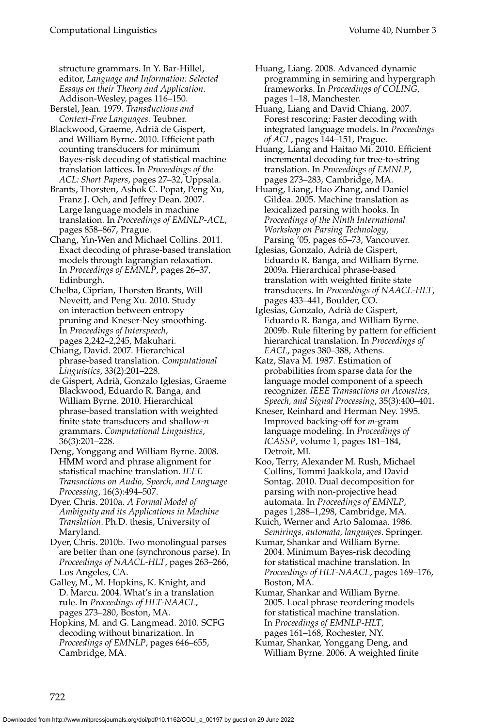structure grammars. In Y. Bar-Hillel, editor, *Language and Information: Selected Essays on their Theory and Application*. Addison-Wesley, pages 116–150.

Berstel, Jean. 1979. *Transductions and Context-Free Languages*. Teubner.

- Blackwood, Graeme, Adrià de Gispert, and William Byrne. 2010. Efficient path counting transducers for minimum Bayes-risk decoding of statistical machine translation lattices. In *Proceedings of the ACL: Short Papers*, pages 27–32, Uppsala.
- Brants, Thorsten, Ashok C. Popat, Peng Xu, Franz J. Och, and Jeffrey Dean. 2007. Large language models in machine translation. In *Proceedings of EMNLP-ACL*, pages 858–867, Prague.
- Chang, Yin-Wen and Michael Collins. 2011. Exact decoding of phrase-based translation models through lagrangian relaxation. In *Proceedings of EMNLP*, pages 26–37, Edinburgh.
- Chelba, Ciprian, Thorsten Brants, Will Neveitt, and Peng Xu. 2010. Study on interaction between entropy pruning and Kneser-Ney smoothing. In *Proceedings of Interspeech*, pages 2,242–2,245, Makuhari.

Chiang, David. 2007. Hierarchical phrase-based translation. *Computational Linguistics*, 33(2):201–228.

- de Gispert, Adrià, Gonzalo Iglesias, Graeme Blackwood, Eduardo R. Banga, and William Byrne. 2010. Hierarchical phrase-based translation with weighted finite state transducers and shallow-*n* grammars. *Computational Linguistics*, 36(3):201–228.
- Deng, Yonggang and William Byrne. 2008. HMM word and phrase alignment for statistical machine translation. *IEEE Transactions on Audio, Speech, and Language Processing*, 16(3):494–507.
- Dyer, Chris. 2010a. *A Formal Model of Ambiguity and its Applications in Machine Translation*. Ph.D. thesis, University of Maryland.

Dyer, Chris. 2010b. Two monolingual parses are better than one (synchronous parse). In *Proceedings of NAACL-HLT*, pages 263–266, Los Angeles, CA.

Galley, M., M. Hopkins, K. Knight, and D. Marcu. 2004. What's in a translation rule. In *Proceedings of HLT-NAACL*, pages 273–280, Boston, MA.

Hopkins, M. and G. Langmead. 2010. SCFG decoding without binarization. In *Proceedings of EMNLP*, pages 646–655, Cambridge, MA.

- Huang, Liang. 2008. Advanced dynamic programming in semiring and hypergraph frameworks. In *Proceedings of COLING*, pages 1–18, Manchester.
- Huang, Liang and David Chiang. 2007. Forest rescoring: Faster decoding with integrated language models. In *Proceedings of ACL*, pages 144–151, Prague.
- Huang, Liang and Haitao Mi. 2010. Efficient incremental decoding for tree-to-string translation. In *Proceedings of EMNLP*, pages 273–283, Cambridge, MA.
- Huang, Liang, Hao Zhang, and Daniel Gildea. 2005. Machine translation as lexicalized parsing with hooks. In *Proceedings of the Ninth International Workshop on Parsing Technology*, Parsing '05, pages 65–73, Vancouver.
- Iglesias, Gonzalo, Adrià de Gispert, Eduardo R. Banga, and William Byrne. 2009a. Hierarchical phrase-based translation with weighted finite state transducers. In *Proceedings of NAACL-HLT*, pages 433–441, Boulder, CO.
- Iglesias, Gonzalo, Adrià de Gispert, Eduardo R. Banga, and William Byrne. 2009b. Rule filtering by pattern for efficient hierarchical translation. In *Proceedings of EACL*, pages 380–388, Athens.
- Katz, Slava M. 1987. Estimation of probabilities from sparse data for the language model component of a speech recognizer. *IEEE Transactions on Acoustics, Speech, and Signal Processing*, 35(3):400–401.
- Kneser, Reinhard and Herman Ney. 1995. Improved backing-off for *m*-gram language modeling. In *Proceedings of ICASSP*, volume 1, pages 181–184, Detroit, MI.
- Koo, Terry, Alexander M. Rush, Michael Collins, Tommi Jaakkola, and David Sontag. 2010. Dual decomposition for parsing with non-projective head automata. In *Proceedings of EMNLP*, pages 1,288–1,298, Cambridge, MA.
- Kuich, Werner and Arto Salomaa. 1986. *Semirings, automata, languages*. Springer.
- Kumar, Shankar and William Byrne. 2004. Minimum Bayes-risk decoding for statistical machine translation. In *Proceedings of HLT-NAACL*, pages 169–176, Boston, MA.

Kumar, Shankar and William Byrne. 2005. Local phrase reordering models for statistical machine translation. In *Proceedings of EMNLP-HLT*, pages 161–168, Rochester, NY.

Kumar, Shankar, Yonggang Deng, and William Byrne. 2006. A weighted finite